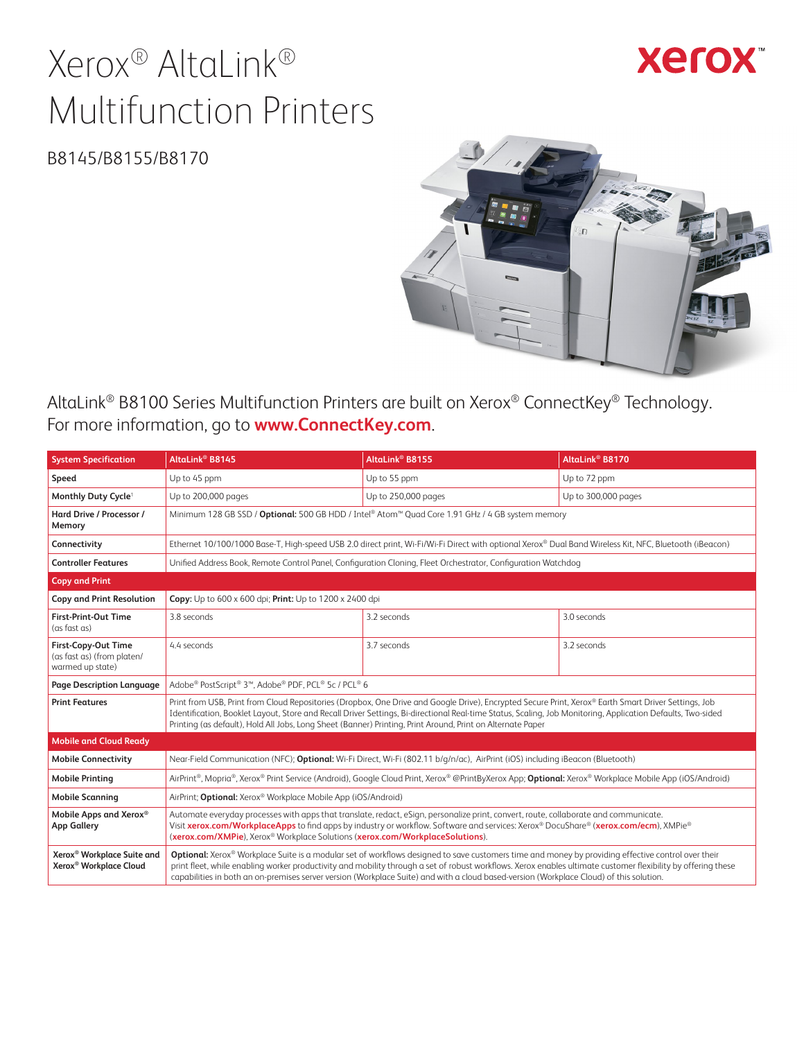# Xerox® AltaLink® Multifunction Printers

**Xerox** 

B8145/B8155/B8170



AltaLink® B8100 Series Multifunction Printers are built on Xerox® ConnectKey® Technology. For more information, go to **[www.ConnectKey.com](http://www.ConnectKey.com)**.

| <b>System Specification</b>                                                  | AltaLink <sup>®</sup> B8145                                                                                                                                                                                                                                                                                                                                                                                                                                    | AltaLink <sup>®</sup> B8155                                                                                                                            | AltaLink <sup>®</sup> B8170 |  |
|------------------------------------------------------------------------------|----------------------------------------------------------------------------------------------------------------------------------------------------------------------------------------------------------------------------------------------------------------------------------------------------------------------------------------------------------------------------------------------------------------------------------------------------------------|--------------------------------------------------------------------------------------------------------------------------------------------------------|-----------------------------|--|
| Speed                                                                        | Up to 45 ppm                                                                                                                                                                                                                                                                                                                                                                                                                                                   | Up to 55 ppm                                                                                                                                           | Up to 72 ppm                |  |
| Monthly Duty Cycle <sup>1</sup>                                              | Up to 200,000 pages                                                                                                                                                                                                                                                                                                                                                                                                                                            | Up to 250,000 pages                                                                                                                                    | Up to 300,000 pages         |  |
| Hard Drive / Processor /<br>Memory                                           |                                                                                                                                                                                                                                                                                                                                                                                                                                                                | Minimum 128 GB SSD / Optional: 500 GB HDD / Intel® Atom™ Quad Core 1.91 GHz / 4 GB system memory                                                       |                             |  |
| Connectivity                                                                 |                                                                                                                                                                                                                                                                                                                                                                                                                                                                | Ethernet 10/100/1000 Base-T, High-speed USB 2.0 direct print, Wi-Fi/Wi-Fi Direct with optional Xerox® Dual Band Wireless Kit, NFC, Bluetooth (iBeacon) |                             |  |
| <b>Controller Features</b>                                                   |                                                                                                                                                                                                                                                                                                                                                                                                                                                                | Unified Address Book, Remote Control Panel, Configuration Cloning, Fleet Orchestrator, Configuration Watchdog                                          |                             |  |
| <b>Copy and Print</b>                                                        |                                                                                                                                                                                                                                                                                                                                                                                                                                                                |                                                                                                                                                        |                             |  |
| <b>Copy and Print Resolution</b>                                             | Copy: Up to $600 \times 600$ dpi; Print: Up to $1200 \times 2400$ dpi                                                                                                                                                                                                                                                                                                                                                                                          |                                                                                                                                                        |                             |  |
| <b>First-Print-Out Time</b><br>(as fast as)                                  | 3.8 seconds                                                                                                                                                                                                                                                                                                                                                                                                                                                    | 3.2 seconds                                                                                                                                            | 3.0 seconds                 |  |
| First-Copy-Out Time<br>(as fast as) (from platen/<br>warmed up state)        | 4.4 seconds                                                                                                                                                                                                                                                                                                                                                                                                                                                    | 3.7 seconds                                                                                                                                            | 3.2 seconds                 |  |
| Page Description Language                                                    | Adobe® PostScript® 3™, Adobe® PDF, PCL® 5c / PCL® 6                                                                                                                                                                                                                                                                                                                                                                                                            |                                                                                                                                                        |                             |  |
| <b>Print Features</b>                                                        | Print from USB, Print from Cloud Repositories (Dropbox, One Drive and Google Drive), Encrypted Secure Print, Xerox® Earth Smart Driver Settings, Job<br>Identification, Booklet Layout, Store and Recall Driver Settings, Bi-directional Real-time Status, Scaling, Job Monitoring, Application Defaults, Two-sided<br>Printing (as default), Hold All Jobs, Long Sheet (Banner) Printing, Print Around, Print on Alternate Paper                              |                                                                                                                                                        |                             |  |
| <b>Mobile and Cloud Ready</b>                                                |                                                                                                                                                                                                                                                                                                                                                                                                                                                                |                                                                                                                                                        |                             |  |
| <b>Mobile Connectivity</b>                                                   | Near-Field Communication (NFC); Optional: Wi-Fi Direct, Wi-Fi (802.11 b/q/n/ac), AirPrint (iOS) including iBeacon (Bluetooth)                                                                                                                                                                                                                                                                                                                                  |                                                                                                                                                        |                             |  |
| <b>Mobile Printing</b>                                                       | AirPrint®, Mopria®, Xerox® Print Service (Android), Google Cloud Print, Xerox® @PrintByXerox App; Optional: Xerox® Workplace Mobile App (iOS/Android)                                                                                                                                                                                                                                                                                                          |                                                                                                                                                        |                             |  |
| <b>Mobile Scanning</b>                                                       | AirPrint; Optional: Xerox® Workplace Mobile App (iOS/Android)                                                                                                                                                                                                                                                                                                                                                                                                  |                                                                                                                                                        |                             |  |
| Mobile Apps and Xerox®<br><b>App Gallery</b>                                 | Automate everyday processes with apps that translate, redact, eSign, personalize print, convert, route, collaborate and communicate.<br>Visit xerox.com/WorkplaceApps to find apps by industry or workflow. Software and services: Xerox® DocuShare® (xerox.com/ecm), XMPie®<br>(xerox.com/XMPie), Xerox® Workplace Solutions (xerox.com/WorkplaceSolutions).                                                                                                  |                                                                                                                                                        |                             |  |
| Xerox <sup>®</sup> Workplace Suite and<br>Xerox <sup>®</sup> Workplace Cloud | Optional: Xerox® Workplace Suite is a modular set of workflows designed to save customers time and money by providing effective control over their<br>print fleet, while enabling worker productivity and mobility through a set of robust workflows. Xerox enables ultimate customer flexibility by offering these<br>capabilities in both an on-premises server version (Workplace Suite) and with a cloud based-version (Workplace Cloud) of this solution. |                                                                                                                                                        |                             |  |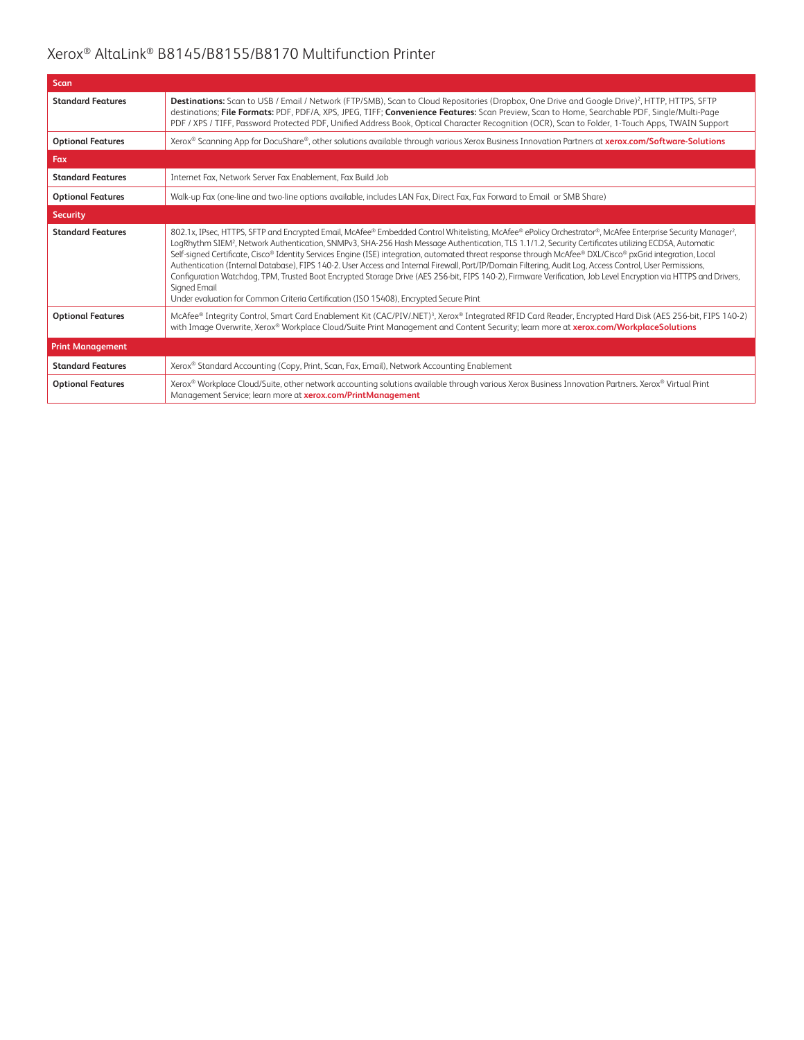| <b>Scan</b>              |                                                                                                                                                                                                                                                                                                                                                                                                                                                                                                                                                                                                                                                                                                                                                                                                                                                                                                                                                     |
|--------------------------|-----------------------------------------------------------------------------------------------------------------------------------------------------------------------------------------------------------------------------------------------------------------------------------------------------------------------------------------------------------------------------------------------------------------------------------------------------------------------------------------------------------------------------------------------------------------------------------------------------------------------------------------------------------------------------------------------------------------------------------------------------------------------------------------------------------------------------------------------------------------------------------------------------------------------------------------------------|
| <b>Standard Features</b> | Destinations: Scan to USB / Email / Network (FTP/SMB), Scan to Cloud Repositories (Dropbox, One Drive and Google Drive) <sup>2</sup> , HTTP, HTTPS, SFTP<br>destinations; File Formats: PDF, PDF/A, XPS, JPEG, TIFF; Convenience Features: Scan Preview, Scan to Home, Searchable PDF, Single/Multi-Page<br>PDF / XPS / TIFF, Password Protected PDF, Unified Address Book, Optical Character Recognition (OCR), Scan to Folder, 1-Touch Apps, TWAIN Support                                                                                                                                                                                                                                                                                                                                                                                                                                                                                        |
| <b>Optional Features</b> | Xerox® Scanning App for DocuShare®, other solutions available through various Xerox Business Innovation Partners at xerox.com/Software-Solutions                                                                                                                                                                                                                                                                                                                                                                                                                                                                                                                                                                                                                                                                                                                                                                                                    |
| Fax                      |                                                                                                                                                                                                                                                                                                                                                                                                                                                                                                                                                                                                                                                                                                                                                                                                                                                                                                                                                     |
| <b>Standard Features</b> | Internet Fax, Network Server Fax Enablement, Fax Build Job                                                                                                                                                                                                                                                                                                                                                                                                                                                                                                                                                                                                                                                                                                                                                                                                                                                                                          |
| <b>Optional Features</b> | Walk-up Fax (one-line and two-line options available, includes LAN Fax, Direct Fax, Fax Forward to Email or SMB Share)                                                                                                                                                                                                                                                                                                                                                                                                                                                                                                                                                                                                                                                                                                                                                                                                                              |
| <b>Security</b>          |                                                                                                                                                                                                                                                                                                                                                                                                                                                                                                                                                                                                                                                                                                                                                                                                                                                                                                                                                     |
| <b>Standard Features</b> | 802.1x, IPsec, HTTPS, SFTP and Encrypted Email, McAfee® Embedded Control Whitelisting, McAfee® ePolicy Orchestrator®, McAfee Enterprise Security Manager <sup>2</sup> ,<br>LogRhythm SIEM <sup>2</sup> , Network Authentication, SNMPv3, SHA-256 Hash Message Authentication, TLS 1.1/1.2, Security Certificates utilizing ECDSA, Automatic<br>Self-signed Certificate, Cisco® Identity Services Engine (ISE) integration, automated threat response through McAfee® DXL/Cisco® pxGrid integration, Local<br>Authentication (Internal Database), FIPS 140-2. User Access and Internal Firewall, Port/IP/Domain Filtering, Audit Log, Access Control, User Permissions,<br>Configuration Watchdog, TPM, Trusted Boot Encrypted Storage Drive (AES 256-bit, FIPS 140-2), Firmware Verification, Job Level Encryption via HTTPS and Drivers,<br>Signed Email<br>Under evaluation for Common Criteria Certification (ISO 15408), Encrypted Secure Print |
| <b>Optional Features</b> | McAfee® Integrity Control, Smart Card Enablement Kit (CAC/PIV/.NET) <sup>3</sup> , Xerox® Integrated RFID Card Reader, Encrypted Hard Disk (AES 256-bit, FIPS 140-2)<br>with Image Overwrite, Xerox® Workplace Cloud/Suite Print Management and Content Security; learn more at xerox.com/WorkplaceSolutions                                                                                                                                                                                                                                                                                                                                                                                                                                                                                                                                                                                                                                        |
| <b>Print Management</b>  |                                                                                                                                                                                                                                                                                                                                                                                                                                                                                                                                                                                                                                                                                                                                                                                                                                                                                                                                                     |
| <b>Standard Features</b> | Xerox® Standard Accounting (Copy, Print, Scan, Fax, Email), Network Accounting Enablement                                                                                                                                                                                                                                                                                                                                                                                                                                                                                                                                                                                                                                                                                                                                                                                                                                                           |
| <b>Optional Features</b> | Xerox® Workplace Cloud/Suite, other network accounting solutions available through various Xerox Business Innovation Partners. Xerox® Virtual Print<br>Management Service; learn more at xerox.com/PrintManagement                                                                                                                                                                                                                                                                                                                                                                                                                                                                                                                                                                                                                                                                                                                                  |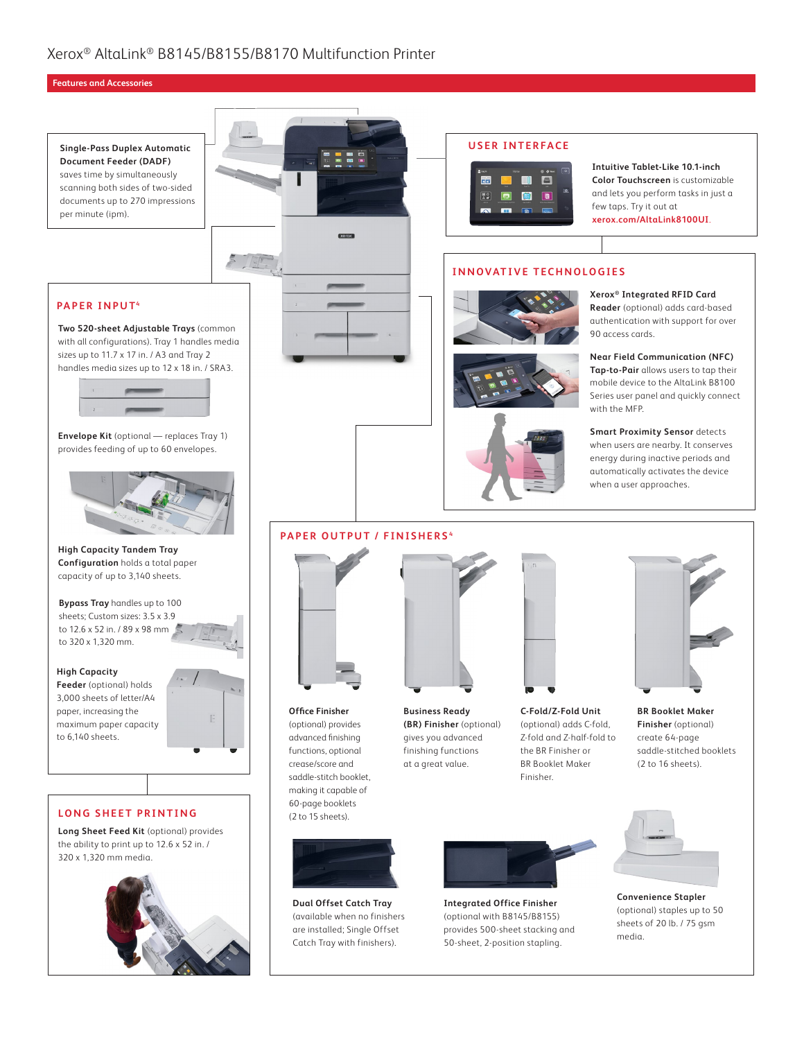#### **Features and Accessories**

**Single-Pass Duplex Automatic Document Feeder (DADF)** saves time by simultaneously scanning both sides of two-sided documents up to 270 impressions per minute (ipm).





#### **USER INTERFACE**



**Intuitive Tablet-Like 10.1-inch Color Touchscreen** is customizable and lets you perform tasks in just a few taps. Try it out at **[xerox.com/AltaLink8100UI](https://www.xerox.com/AltaLink8100UI)**.

**Xerox® Integrated RFID Card Reader** (optional) adds card-based authentication with support for over

**Near Field Communication (NFC) Tap-to-Pair** allows users to tap their mobile device to the AltaLink B8100 Series user panel and quickly connect

**Smart Proximity Sensor** detects when users are nearby. It conserves energy during inactive periods and automatically activates the device when a user approaches.

90 access cards.

with the MFP.

#### **INNOVATIVE TECHNOLOGIES**





#### **PAPER OUTPUT / FINISHERS <sup>4</sup>**



**Office Finisher**  (optional) provides advanced finishing functions, optional crease/score and saddle-stitch booklet, making it capable of 60-page booklets (2 to 15 sheets).

**Dual Offset Catch Tray** (available when no finishers are installed; Single Offset Catch Tray with finishers).



**Business Ready (BR) Finisher** (optional) gives you advanced finishing functions at a great value.



**C-Fold/Z-Fold Unit** (optional) adds C-fold, Z-fold and Z-half-fold to the BR Finisher or BR Booklet Maker Finisher.



**BR Booklet Maker Finisher** (optional) create 64-page saddle-stitched booklets (2 to 16 sheets).



**Integrated Office Finisher** (optional with B8145/B8155) provides 500-sheet stacking and 50-sheet, 2-position stapling.



**Convenience Stapler** (optional) staples up to 50 sheets of 20 lb. / 75 gsm media.

#### **PAPER INPUT4**

**Two 520-sheet Adjustable Trays** (common with all configurations). Tray 1 handles media sizes up to 11.7 x 17 in. / A3 and Tray 2 handles media sizes up to 12 x 18 in. / SRA3.



**Envelope Kit** (optional — replaces Tray 1) provides feeding of up to 60 envelopes.



**High Capacity Tandem Tray Configuration** holds a total paper capacity of up to 3,140 sheets.

**Bypass Tray** handles up to 100 sheets; Custom sizes: 3.5 x 3.9 to 12.6 x 52 in. / 89 x 98 mm to 320 x 1,320 mm.

#### **High Capacity**

**Feeder** (optional) holds 3,000 sheets of letter/A4 paper, increasing the maximum paper capacity to 6,140 sheets.



#### **LONG SHEET PRINTING**

**Long Sheet Feed Kit** (optional) provides the ability to print up to 12.6 x 52 in. / 320 x 1,320 mm media.





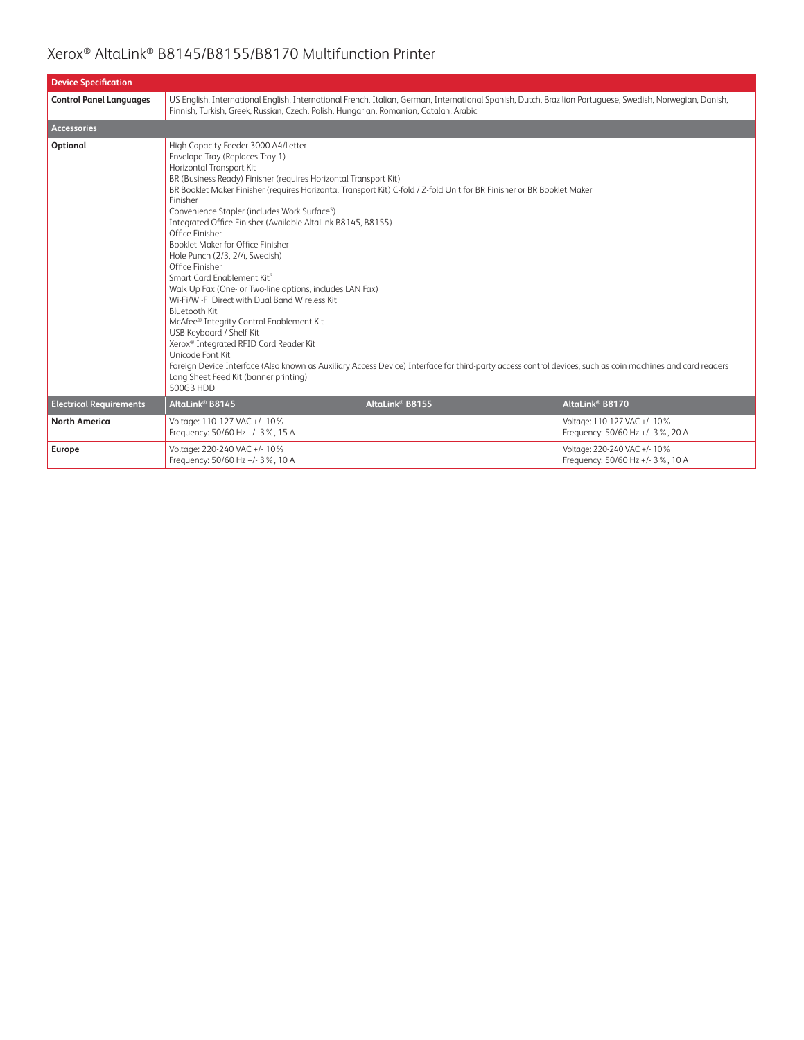| <b>Device Specification</b>    |                                                                                                                                                                                                                                                                                                                                                                                                                                                                                                                                                                                                                                                                                                                                                                                                   |                                                                                                                                                                                                                                                                                     |                                                                  |  |
|--------------------------------|---------------------------------------------------------------------------------------------------------------------------------------------------------------------------------------------------------------------------------------------------------------------------------------------------------------------------------------------------------------------------------------------------------------------------------------------------------------------------------------------------------------------------------------------------------------------------------------------------------------------------------------------------------------------------------------------------------------------------------------------------------------------------------------------------|-------------------------------------------------------------------------------------------------------------------------------------------------------------------------------------------------------------------------------------------------------------------------------------|------------------------------------------------------------------|--|
| <b>Control Panel Languages</b> | US English, International English, International French, Italian, German, International Spanish, Dutch, Brazilian Portuguese, Swedish, Norwegian, Danish,<br>Finnish, Turkish, Greek, Russian, Czech, Polish, Hungarian, Romanian, Catalan, Arabic                                                                                                                                                                                                                                                                                                                                                                                                                                                                                                                                                |                                                                                                                                                                                                                                                                                     |                                                                  |  |
| <b>Accessories</b>             |                                                                                                                                                                                                                                                                                                                                                                                                                                                                                                                                                                                                                                                                                                                                                                                                   |                                                                                                                                                                                                                                                                                     |                                                                  |  |
| Optional                       | High Capacity Feeder 3000 A4/Letter<br>Envelope Tray (Replaces Tray 1)<br>Horizontal Transport Kit<br>BR (Business Ready) Finisher (requires Horizontal Transport Kit)<br>Finisher<br>Convenience Stapler (includes Work Surface <sup>5</sup> )<br>Integrated Office Finisher (Available AltaLink B8145, B8155)<br>Office Finisher<br>Booklet Maker for Office Finisher<br>Hole Punch (2/3, 2/4, Swedish)<br>Office Finisher<br>Smart Card Enablement Kit <sup>3</sup><br>Walk Up Fax (One- or Two-line options, includes LAN Fax)<br>Wi-Fi/Wi-Fi Direct with Dual Band Wireless Kit<br>Bluetooth Kit<br>McAfee® Integrity Control Enablement Kit<br>USB Keyboard / Shelf Kit<br>Xerox® Integrated RFID Card Reader Kit<br>Unicode Font Kit<br>Long Sheet Feed Kit (banner printing)<br>500GB HDD | BR Booklet Maker Finisher (requires Horizontal Transport Kit) C-fold / Z-fold Unit for BR Finisher or BR Booklet Maker<br>Foreign Device Interface (Also known as Auxiliary Access Device) Interface for third-party access control devices, such as coin machines and card readers |                                                                  |  |
| <b>Electrical Requirements</b> | AltaLink® B8145                                                                                                                                                                                                                                                                                                                                                                                                                                                                                                                                                                                                                                                                                                                                                                                   | AltaLink <sup>®</sup> B8155                                                                                                                                                                                                                                                         | AltaLink <sup>®</sup> B8170                                      |  |
| <b>North America</b>           | Voltage: 110-127 VAC +/- 10%<br>Frequency: 50/60 Hz +/- 3%, 15 A                                                                                                                                                                                                                                                                                                                                                                                                                                                                                                                                                                                                                                                                                                                                  |                                                                                                                                                                                                                                                                                     | Voltage: 110-127 VAC +/- 10%<br>Frequency: 50/60 Hz +/- 3%, 20 A |  |
| Europe                         | Voltage: 220-240 VAC +/- 10%<br>Frequency: 50/60 Hz +/- 3%, 10 A                                                                                                                                                                                                                                                                                                                                                                                                                                                                                                                                                                                                                                                                                                                                  |                                                                                                                                                                                                                                                                                     | Voltage: 220-240 VAC +/- 10%<br>Frequency: 50/60 Hz +/- 3%, 10 A |  |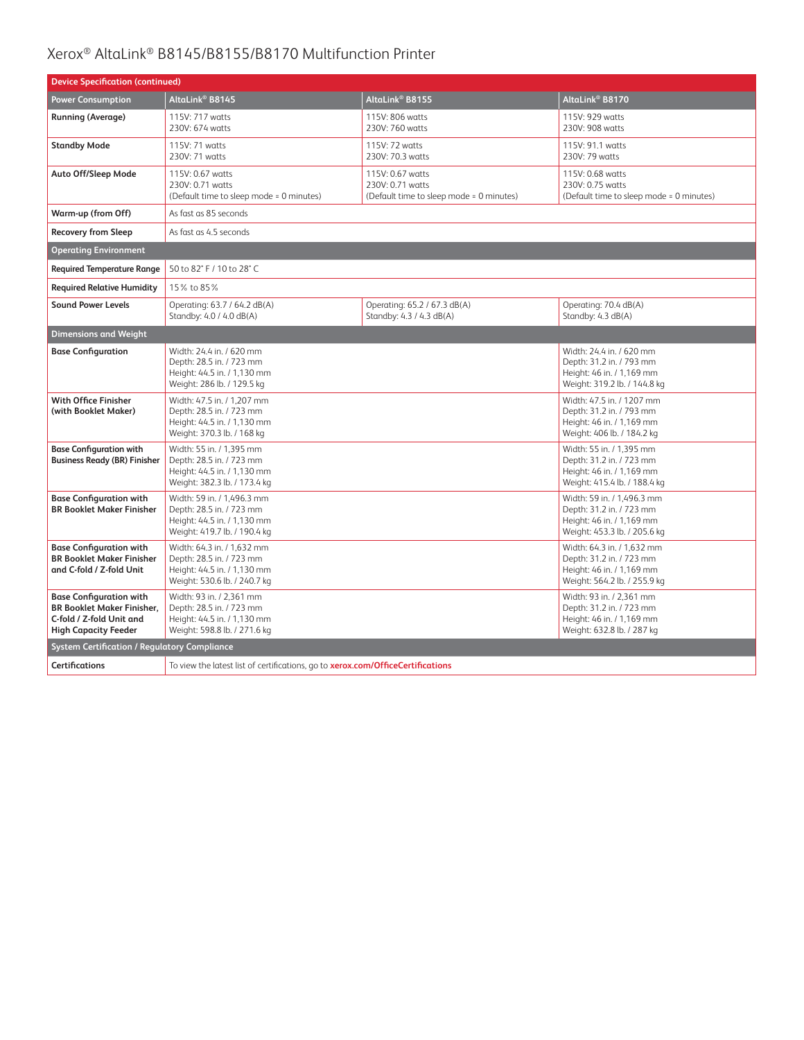| <b>Device Specification (continued)</b>                                                                                        |                                                                                                                                                                                                                                              |                                                                                  |                                                                                  |  |
|--------------------------------------------------------------------------------------------------------------------------------|----------------------------------------------------------------------------------------------------------------------------------------------------------------------------------------------------------------------------------------------|----------------------------------------------------------------------------------|----------------------------------------------------------------------------------|--|
| <b>Power Consumption</b>                                                                                                       | AltaLink® B8145                                                                                                                                                                                                                              | AltaLink® B8155                                                                  | AltaLink <sup>®</sup> B8170                                                      |  |
| <b>Running (Average)</b>                                                                                                       | 115V: 717 watts<br>230V: 674 watts                                                                                                                                                                                                           | 115V: 806 watts<br>230V: 760 watts                                               | 115V: 929 watts<br>230V: 908 watts                                               |  |
| <b>Standby Mode</b>                                                                                                            | 115V: 71 watts<br>230V: 71 watts                                                                                                                                                                                                             | 115V: 72 watts<br>230V: 70.3 watts                                               | 115V: 91.1 watts<br>230V: 79 watts                                               |  |
| Auto Off/Sleep Mode                                                                                                            | 115V: 0.67 watts<br>230V: 0.71 watts<br>(Default time to sleep mode = 0 minutes)                                                                                                                                                             | 115V: 0.67 watts<br>230V: 0.71 watts<br>(Default time to sleep mode = 0 minutes) | 115V: 0.68 watts<br>230V: 0.75 watts<br>(Default time to sleep mode = 0 minutes) |  |
| Warm-up (from Off)                                                                                                             | As fast as 85 seconds                                                                                                                                                                                                                        |                                                                                  |                                                                                  |  |
| <b>Recovery from Sleep</b>                                                                                                     | As fast as 4.5 seconds                                                                                                                                                                                                                       |                                                                                  |                                                                                  |  |
| <b>Operating Environment</b>                                                                                                   |                                                                                                                                                                                                                                              |                                                                                  |                                                                                  |  |
| <b>Required Temperature Range</b>                                                                                              | 50 to 82° F / 10 to 28° C                                                                                                                                                                                                                    |                                                                                  |                                                                                  |  |
| <b>Required Relative Humidity</b>                                                                                              | 15% to 85%                                                                                                                                                                                                                                   |                                                                                  |                                                                                  |  |
| <b>Sound Power Levels</b>                                                                                                      | Operating: 63.7 / 64.2 dB(A)<br>Standby: 4.0 / 4.0 dB(A)                                                                                                                                                                                     | Operating: 70.4 dB(A)<br>Standby: 4.3 dB(A)                                      |                                                                                  |  |
| <b>Dimensions and Weight</b>                                                                                                   |                                                                                                                                                                                                                                              |                                                                                  |                                                                                  |  |
| <b>Base Configuration</b>                                                                                                      | Width: 24.4 in. / 620 mm<br>Width: 24.4 in. / 620 mm<br>Depth: 28.5 in. / 723 mm<br>Depth: 31.2 in. / 793 mm<br>Height: 44.5 in. / 1,130 mm<br>Height: 46 in. / 1,169 mm<br>Weight: 286 lb. / 129.5 kg<br>Weight: 319.2 lb. / 144.8 kg       |                                                                                  |                                                                                  |  |
| With Office Finisher<br>(with Booklet Maker)                                                                                   | Width: 47.5 in. / 1,207 mm<br>Width: 47.5 in. / 1207 mm<br>Depth: 28.5 in. / 723 mm<br>Depth: 31.2 in. / 793 mm<br>Height: 44.5 in. / 1,130 mm<br>Height: 46 in. / 1,169 mm<br>Weight: 370.3 lb. / 168 kg<br>Weight: 406 lb. / 184.2 kg      |                                                                                  |                                                                                  |  |
| <b>Base Configuration with</b><br><b>Business Ready (BR) Finisher</b>                                                          | Width: 55 in. / 1.395 mm<br>Width: 55 in. / 1.395 mm<br>Depth: 28.5 in. / 723 mm<br>Depth: 31.2 in. / 723 mm<br>Height: 46 in. / 1,169 mm<br>Height: 44.5 in. / 1,130 mm<br>Weight: 382.3 lb. / 173.4 kg<br>Weight: 415.4 lb. / 188.4 kg     |                                                                                  |                                                                                  |  |
| <b>Base Configuration with</b><br><b>BR Booklet Maker Finisher</b>                                                             | Width: 59 in. / 1,496.3 mm<br>Width: 59 in. / 1,496.3 mm<br>Depth: 28.5 in. / 723 mm<br>Depth: 31.2 in. / 723 mm<br>Height: 44.5 in. / 1,130 mm<br>Height: 46 in. / 1,169 mm<br>Weight: 453.3 lb. / 205.6 kg<br>Weight: 419.7 lb. / 190.4 kg |                                                                                  |                                                                                  |  |
| <b>Base Configuration with</b><br><b>BR Booklet Maker Finisher</b><br>and C-fold / Z-fold Unit                                 | Width: 64.3 in. / 1,632 mm<br>Width: 64.3 in. / 1,632 mm<br>Depth: 28.5 in. / 723 mm<br>Depth: 31.2 in. / 723 mm<br>Height: 44.5 in. / 1,130 mm<br>Height: 46 in. / 1,169 mm<br>Weight: 530.6 lb. / 240.7 kg<br>Weight: 564.2 lb. / 255.9 kg |                                                                                  |                                                                                  |  |
| <b>Base Configuration with</b><br><b>BR Booklet Maker Finisher.</b><br>C-fold / Z-fold Unit and<br><b>High Capacity Feeder</b> | Width: 93 in. / 2,361 mm<br>Width: 93 in. / 2,361 mm<br>Depth: 28.5 in. / 723 mm<br>Depth: 31.2 in. / 723 mm<br>Height: 44.5 in. / 1,130 mm<br>Height: 46 in. / 1,169 mm<br>Weight: 598.8 lb. / 271.6 kg<br>Weight: 632.8 lb. / 287 kg       |                                                                                  |                                                                                  |  |
| <b>System Certification / Regulatory Compliance</b>                                                                            |                                                                                                                                                                                                                                              |                                                                                  |                                                                                  |  |
| <b>Certifications</b>                                                                                                          | To view the latest list of certifications, go to xerox.com/OfficeCertifications                                                                                                                                                              |                                                                                  |                                                                                  |  |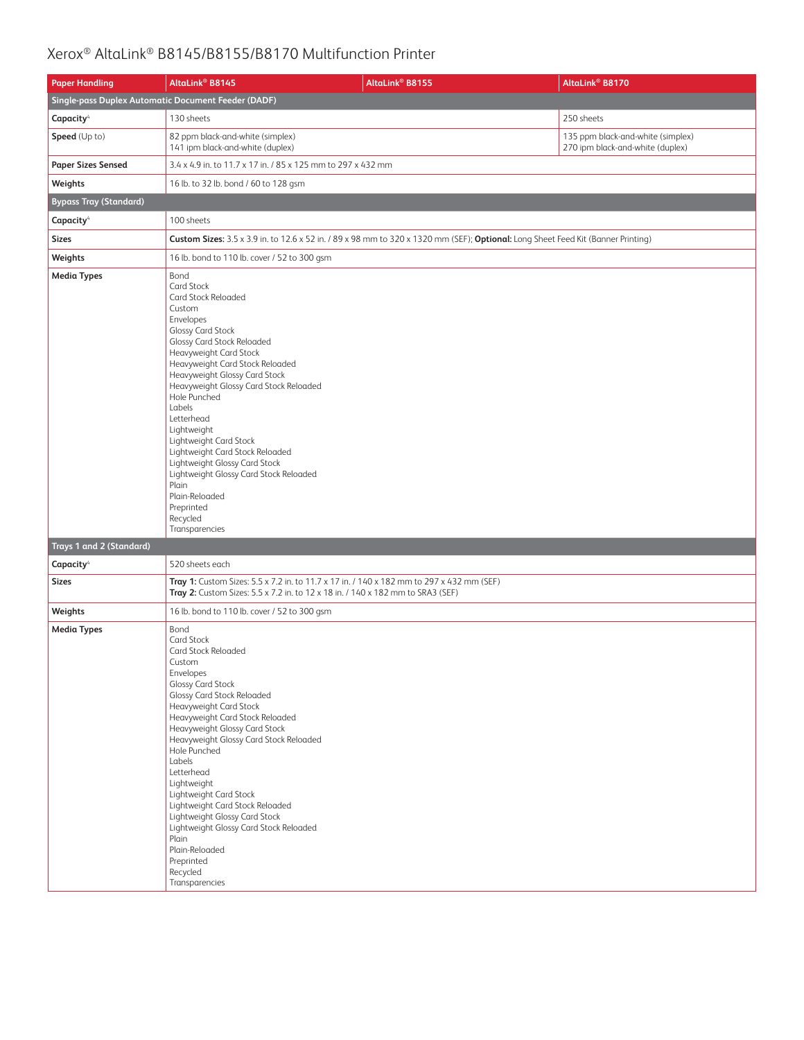| <b>Paper Handling</b>                               | AltaLink <sup>®</sup> B8145                                                                                                                                                                                                                                                                                                                                                                                                                                                                                                                            | AltaLink <sup>®</sup> B8155                                                                                                       | AltaLink <sup>®</sup> B8170                                           |  |
|-----------------------------------------------------|--------------------------------------------------------------------------------------------------------------------------------------------------------------------------------------------------------------------------------------------------------------------------------------------------------------------------------------------------------------------------------------------------------------------------------------------------------------------------------------------------------------------------------------------------------|-----------------------------------------------------------------------------------------------------------------------------------|-----------------------------------------------------------------------|--|
| Single-pass Duplex Automatic Document Feeder (DADF) |                                                                                                                                                                                                                                                                                                                                                                                                                                                                                                                                                        |                                                                                                                                   |                                                                       |  |
| Capacity <sup>4</sup>                               | 130 sheets                                                                                                                                                                                                                                                                                                                                                                                                                                                                                                                                             |                                                                                                                                   | 250 sheets                                                            |  |
| <b>Speed</b> (Up to)                                | 82 ppm black-and-white (simplex)<br>141 ipm black-and-white (duplex)                                                                                                                                                                                                                                                                                                                                                                                                                                                                                   |                                                                                                                                   | 135 ppm black-and-white (simplex)<br>270 ipm black-and-white (duplex) |  |
| <b>Paper Sizes Sensed</b>                           | 3.4 x 4.9 in. to 11.7 x 17 in. / 85 x 125 mm to 297 x 432 mm                                                                                                                                                                                                                                                                                                                                                                                                                                                                                           |                                                                                                                                   |                                                                       |  |
| Weights                                             | 16 lb. to 32 lb. bond / 60 to 128 gsm                                                                                                                                                                                                                                                                                                                                                                                                                                                                                                                  |                                                                                                                                   |                                                                       |  |
| <b>Bypass Tray (Standard)</b>                       |                                                                                                                                                                                                                                                                                                                                                                                                                                                                                                                                                        |                                                                                                                                   |                                                                       |  |
| Capacity <sup>4</sup>                               | 100 sheets                                                                                                                                                                                                                                                                                                                                                                                                                                                                                                                                             |                                                                                                                                   |                                                                       |  |
| <b>Sizes</b>                                        |                                                                                                                                                                                                                                                                                                                                                                                                                                                                                                                                                        | Custom Sizes: 3.5 x 3.9 in. to 12.6 x 52 in. / 89 x 98 mm to 320 x 1320 mm (SEF); Optional: Long Sheet Feed Kit (Banner Printing) |                                                                       |  |
| Weights                                             | 16 lb. bond to 110 lb. cover / 52 to 300 gsm                                                                                                                                                                                                                                                                                                                                                                                                                                                                                                           |                                                                                                                                   |                                                                       |  |
| <b>Media Types</b><br>Trays 1 and 2 (Standard)      | Bond<br><b>Card Stock</b><br>Card Stock Reloaded<br>Custom<br>Envelopes<br><b>Glossy Card Stock</b><br><b>Glossy Card Stock Reloaded</b><br>Heavyweight Card Stock<br>Heavyweight Card Stock Reloaded<br>Heavyweight Glossy Card Stock<br>Heavyweight Glossy Card Stock Reloaded<br>Hole Punched<br>Labels<br>Letterhead<br>Lightweight<br>Lightweight Card Stock<br>Lightweight Card Stock Reloaded<br>Lightweight Glossy Card Stock<br>Lightweight Glossy Card Stock Reloaded<br>Plain<br>Plain-Reloaded<br>Preprinted<br>Recycled<br>Transparencies |                                                                                                                                   |                                                                       |  |
| Capacity <sup>4</sup>                               | 520 sheets each                                                                                                                                                                                                                                                                                                                                                                                                                                                                                                                                        |                                                                                                                                   |                                                                       |  |
| <b>Sizes</b>                                        | Tray 1: Custom Sizes: 5.5 x 7.2 in. to 11.7 x 17 in. / 140 x 182 mm to 297 x 432 mm (SEF)<br>Tray 2: Custom Sizes: 5.5 x 7.2 in. to 12 x 18 in. / 140 x 182 mm to SRA3 (SEF)                                                                                                                                                                                                                                                                                                                                                                           |                                                                                                                                   |                                                                       |  |
| Weights                                             | 16 lb. bond to 110 lb. cover / 52 to 300 gsm                                                                                                                                                                                                                                                                                                                                                                                                                                                                                                           |                                                                                                                                   |                                                                       |  |
| <b>Media Types</b>                                  | Bond<br><b>Card Stock</b><br>Card Stock Reloaded<br>Custom<br>Envelopes<br><b>Glossy Card Stock</b><br><b>Glossy Card Stock Reloaded</b><br>Heavyweight Card Stock<br>Heavyweight Card Stock Reloaded<br>Heavyweight Glossy Card Stock<br>Heavyweight Glossy Card Stock Reloaded<br>Hole Punched<br>Labels<br>Letterhead<br>Lightweight<br>Lightweight Card Stock<br>Lightweight Card Stock Reloaded<br>Lightweight Glossy Card Stock<br>Lightweight Glossy Card Stock Reloaded<br>Plain<br>Plain-Reloaded<br>Preprinted<br>Recycled<br>Transparencies |                                                                                                                                   |                                                                       |  |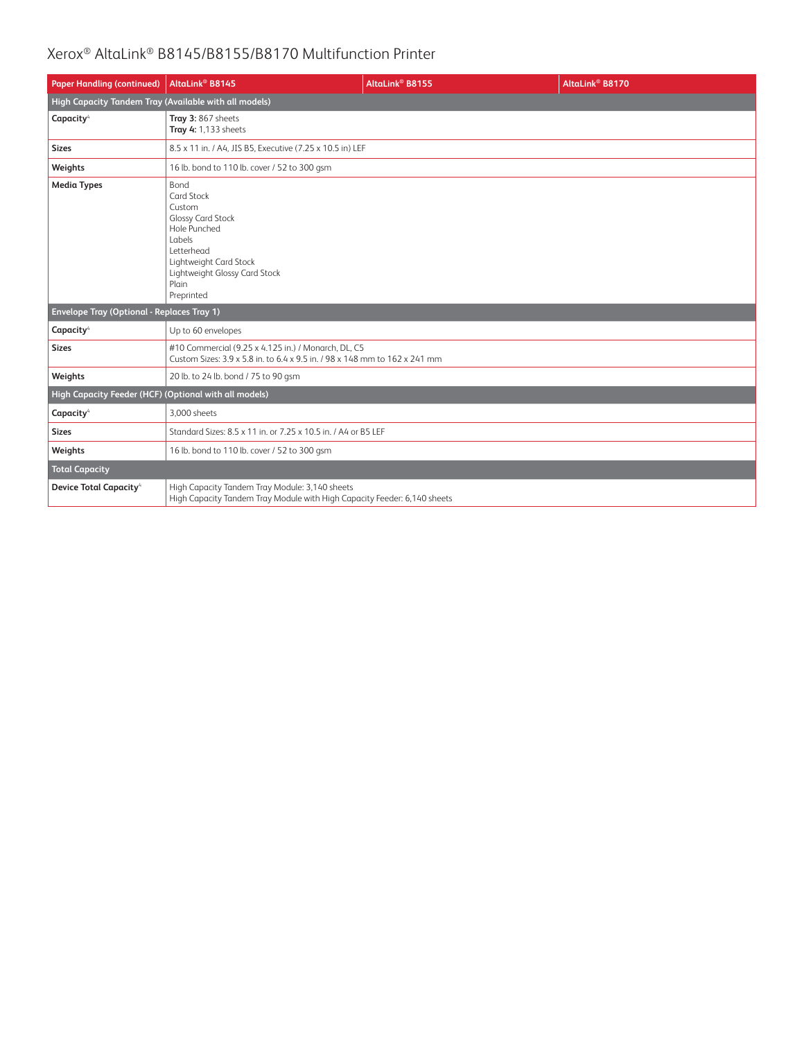| <b>Paper Handling (continued)</b>                     | AltaLink <sup>®</sup> B8145                                                                                                                                                               | AltaLink <sup>®</sup> B8155 | AltaLink <sup>®</sup> B8170 |
|-------------------------------------------------------|-------------------------------------------------------------------------------------------------------------------------------------------------------------------------------------------|-----------------------------|-----------------------------|
| High Capacity Tandem Tray (Available with all models) |                                                                                                                                                                                           |                             |                             |
| Capacity <sup>4</sup>                                 | Tray 3: 867 sheets<br>Tray 4: 1,133 sheets                                                                                                                                                |                             |                             |
| <b>Sizes</b>                                          | 8.5 x 11 in. / A4, JIS B5, Executive (7.25 x 10.5 in) LEF                                                                                                                                 |                             |                             |
| Weights                                               | 16 lb. bond to 110 lb. cover / 52 to 300 gsm                                                                                                                                              |                             |                             |
| <b>Media Types</b>                                    | Bond<br><b>Card Stock</b><br>Custom<br><b>Glossy Card Stock</b><br>Hole Punched<br>Labels<br>Letterhead<br>Lightweight Card Stock<br>Lightweight Glossy Card Stock<br>Plain<br>Preprinted |                             |                             |
| <b>Envelope Tray (Optional - Replaces Tray 1)</b>     |                                                                                                                                                                                           |                             |                             |
| Capacity <sup>4</sup>                                 | Up to 60 envelopes                                                                                                                                                                        |                             |                             |
| <b>Sizes</b>                                          | #10 Commercial (9.25 x 4.125 in.) / Monarch, DL, C5<br>Custom Sizes: 3.9 x 5.8 in. to 6.4 x 9.5 in. / 98 x 148 mm to 162 x 241 mm                                                         |                             |                             |
| Weights                                               | 20 lb. to 24 lb. bond / 75 to 90 gsm                                                                                                                                                      |                             |                             |
| High Capacity Feeder (HCF) (Optional with all models) |                                                                                                                                                                                           |                             |                             |
| Capacity <sup>4</sup>                                 | 3.000 sheets                                                                                                                                                                              |                             |                             |
| <b>Sizes</b>                                          | Standard Sizes: 8.5 x 11 in, or 7.25 x 10.5 in, / A4 or B5 LEF                                                                                                                            |                             |                             |
| Weights                                               | 16 lb. bond to 110 lb. cover / 52 to 300 gsm                                                                                                                                              |                             |                             |
| <b>Total Capacity</b>                                 |                                                                                                                                                                                           |                             |                             |
| <b>Device Total Capacity</b> <sup>4</sup>             | High Capacity Tandem Tray Module: 3,140 sheets<br>High Capacity Tandem Tray Module with High Capacity Feeder: 6,140 sheets                                                                |                             |                             |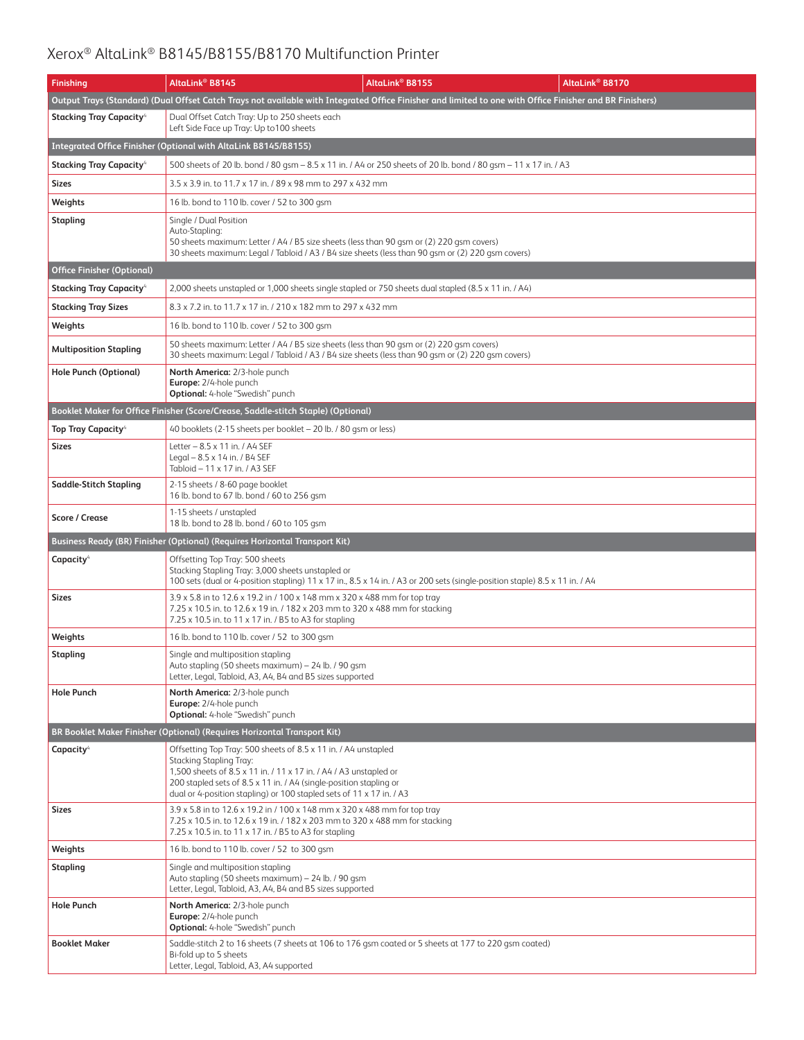| <b>Finishing</b>                          | AltaLink® B8145                                                                                                                                                                                                                                                                                              | AltaLink® B8155                                                                                                              | AltaLink® B8170 |  |
|-------------------------------------------|--------------------------------------------------------------------------------------------------------------------------------------------------------------------------------------------------------------------------------------------------------------------------------------------------------------|------------------------------------------------------------------------------------------------------------------------------|-----------------|--|
|                                           | Output Trays (Standard) (Dual Offset Catch Trays not available with Integrated Office Finisher and limited to one with Office Finisher and BR Finishers)                                                                                                                                                     |                                                                                                                              |                 |  |
| <b>Stacking Tray Capacity<sup>4</sup></b> | Dual Offset Catch Tray: Up to 250 sheets each<br>Left Side Face up Tray: Up to 100 sheets                                                                                                                                                                                                                    |                                                                                                                              |                 |  |
|                                           | Integrated Office Finisher (Optional with AltaLink B8145/B8155)                                                                                                                                                                                                                                              |                                                                                                                              |                 |  |
| Stacking Tray Capacity <sup>4</sup>       |                                                                                                                                                                                                                                                                                                              | 500 sheets of 20 lb. bond / 80 qsm - 8.5 x 11 in. / A4 or 250 sheets of 20 lb. bond / 80 qsm - 11 x 17 in. / A3              |                 |  |
| Sizes                                     | 3.5 x 3.9 in. to 11.7 x 17 in. / 89 x 98 mm to 297 x 432 mm                                                                                                                                                                                                                                                  |                                                                                                                              |                 |  |
| Weights                                   | 16 lb. bond to 110 lb. cover / 52 to 300 gsm                                                                                                                                                                                                                                                                 |                                                                                                                              |                 |  |
| <b>Stapling</b>                           | Single / Dual Position<br>Auto-Stapling:<br>50 sheets maximum: Letter / A4 / B5 size sheets (less than 90 gsm or (2) 220 gsm covers)<br>30 sheets maximum: Legal / Tabloid / A3 / B4 size sheets (less than 90 gsm or (2) 220 gsm covers)                                                                    |                                                                                                                              |                 |  |
| <b>Office Finisher (Optional)</b>         |                                                                                                                                                                                                                                                                                                              |                                                                                                                              |                 |  |
| <b>Stacking Tray Capacity<sup>4</sup></b> | 2,000 sheets unstapled or 1,000 sheets single stapled or 750 sheets dual stapled (8.5 x 11 in. / A4)                                                                                                                                                                                                         |                                                                                                                              |                 |  |
| <b>Stacking Tray Sizes</b>                | 8.3 x 7.2 in. to 11.7 x 17 in. / 210 x 182 mm to 297 x 432 mm                                                                                                                                                                                                                                                |                                                                                                                              |                 |  |
| Weights                                   | 16 lb. bond to 110 lb. cover / 52 to 300 gsm                                                                                                                                                                                                                                                                 |                                                                                                                              |                 |  |
| <b>Multiposition Stapling</b>             | 50 sheets maximum: Letter / A4 / B5 size sheets (less than 90 gsm or (2) 220 gsm covers)<br>30 sheets maximum: Legal / Tabloid / A3 / B4 size sheets (less than 90 gsm or (2) 220 gsm covers)                                                                                                                |                                                                                                                              |                 |  |
| <b>Hole Punch (Optional)</b>              | North America: 2/3-hole punch<br>Europe: 2/4-hole punch<br><b>Optional:</b> 4-hole "Swedish" punch                                                                                                                                                                                                           |                                                                                                                              |                 |  |
|                                           | Booklet Maker for Office Finisher (Score/Crease, Saddle-stitch Staple) (Optional)                                                                                                                                                                                                                            |                                                                                                                              |                 |  |
| <b>Top Tray Capacity</b> <sup>4</sup>     | 40 booklets (2-15 sheets per booklet - 20 lb. / 80 gsm or less)                                                                                                                                                                                                                                              |                                                                                                                              |                 |  |
| <b>Sizes</b>                              | Letter - 8.5 x 11 in. / A4 SEF<br>Legal - 8.5 x 14 in. / B4 SEF<br>Tabloid - 11 x 17 in. / A3 SEF                                                                                                                                                                                                            |                                                                                                                              |                 |  |
| <b>Saddle-Stitch Stapling</b>             | 2-15 sheets / 8-60 page booklet<br>16 lb. bond to 67 lb. bond / 60 to 256 gsm                                                                                                                                                                                                                                |                                                                                                                              |                 |  |
| <b>Score / Crease</b>                     | 1-15 sheets / unstapled<br>18 lb. bond to 28 lb. bond / 60 to 105 gsm                                                                                                                                                                                                                                        |                                                                                                                              |                 |  |
|                                           | Business Ready (BR) Finisher (Optional) (Requires Horizontal Transport Kit)                                                                                                                                                                                                                                  |                                                                                                                              |                 |  |
| Capacity <sup>4</sup>                     | Offsetting Top Tray: 500 sheets<br>Stacking Stapling Tray: 3,000 sheets unstapled or                                                                                                                                                                                                                         | 100 sets (dual or 4-position stapling) 11 x 17 in., 8.5 x 14 in. / A3 or 200 sets (single-position staple) 8.5 x 11 in. / A4 |                 |  |
| <b>Sizes</b>                              | 3.9 x 5.8 in to 12.6 x 19.2 in / 100 x 148 mm x 320 x 488 mm for top tray<br>7.25 x 10.5 in. to 12.6 x 19 in. / 182 x 203 mm to 320 x 488 mm for stacking<br>7.25 x 10.5 in. to 11 x 17 in. / B5 to A3 for stapling                                                                                          |                                                                                                                              |                 |  |
| Weights                                   | 16 lb. bond to 110 lb. cover / 52 to 300 gsm                                                                                                                                                                                                                                                                 |                                                                                                                              |                 |  |
| <b>Stapling</b>                           | Single and multiposition stapling<br>Auto stapling (50 sheets maximum) - 24 lb. / 90 gsm<br>Letter, Legal, Tabloid, A3, A4, B4 and B5 sizes supported                                                                                                                                                        |                                                                                                                              |                 |  |
| <b>Hole Punch</b>                         | North America: 2/3-hole punch<br>Europe: 2/4-hole punch<br>Optional: 4-hole "Swedish" punch                                                                                                                                                                                                                  |                                                                                                                              |                 |  |
|                                           | BR Booklet Maker Finisher (Optional) (Requires Horizontal Transport Kit)                                                                                                                                                                                                                                     |                                                                                                                              |                 |  |
| Capacity <sup>4</sup>                     | Offsetting Top Tray: 500 sheets of 8.5 x 11 in. / A4 unstapled<br>Stacking Stapling Tray:<br>1,500 sheets of 8.5 x 11 in. / 11 x 17 in. / A4 / A3 unstapled or<br>200 stapled sets of 8.5 x 11 in. / A4 (single-position stapling or<br>dual or 4-position stapling) or 100 stapled sets of 11 x 17 in. / A3 |                                                                                                                              |                 |  |
| Sizes                                     | 3.9 x 5.8 in to 12.6 x 19.2 in / 100 x 148 mm x 320 x 488 mm for top tray<br>7.25 x 10.5 in. to 12.6 x 19 in. / 182 x 203 mm to 320 x 488 mm for stacking<br>7.25 x 10.5 in. to 11 x 17 in. / B5 to A3 for stapling                                                                                          |                                                                                                                              |                 |  |
| Weights                                   | 16 lb. bond to 110 lb. cover / 52 to 300 gsm                                                                                                                                                                                                                                                                 |                                                                                                                              |                 |  |
| <b>Stapling</b>                           | Single and multiposition stapling<br>Auto stapling (50 sheets maximum) - 24 lb. / 90 gsm<br>Letter, Legal, Tabloid, A3, A4, B4 and B5 sizes supported                                                                                                                                                        |                                                                                                                              |                 |  |
| <b>Hole Punch</b>                         | North America: 2/3-hole punch<br>Europe: 2/4-hole punch<br>Optional: 4-hole "Swedish" punch                                                                                                                                                                                                                  |                                                                                                                              |                 |  |
| <b>Booklet Maker</b>                      | Bi-fold up to 5 sheets<br>Letter, Legal, Tabloid, A3, A4 supported                                                                                                                                                                                                                                           | Saddle-stitch 2 to 16 sheets (7 sheets at 106 to 176 gsm coated or 5 sheets at 177 to 220 gsm coated)                        |                 |  |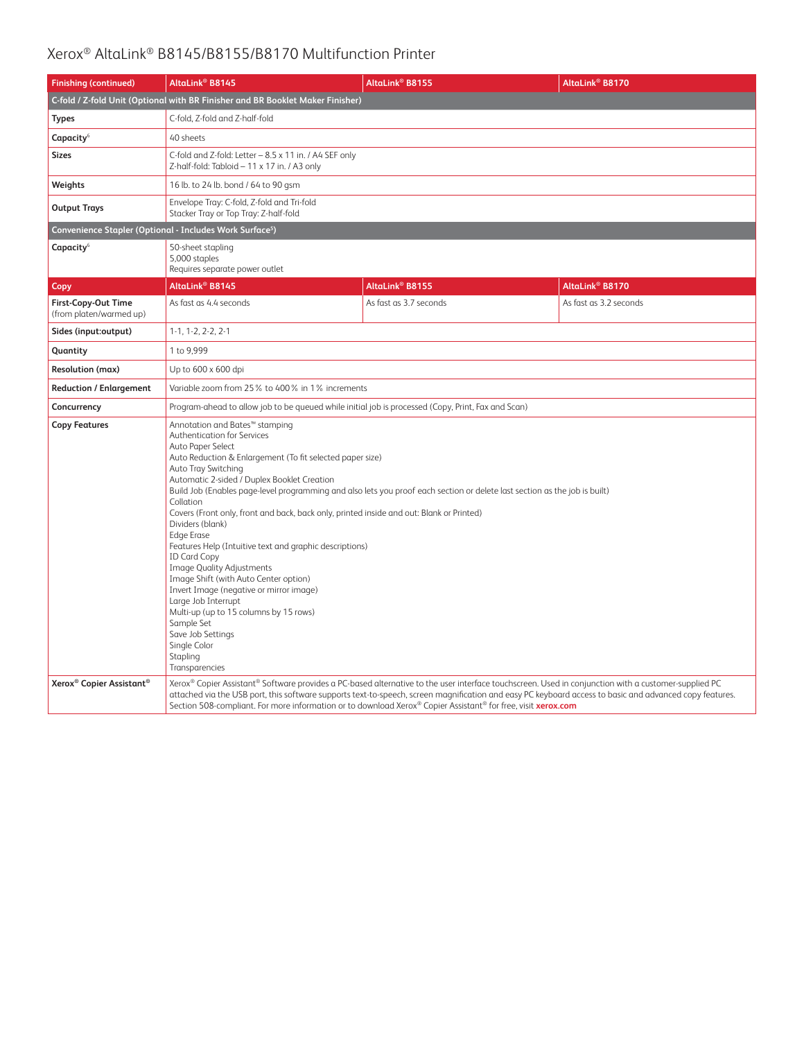| <b>Finishing (continued)</b>                                         | AltaLink <sup>®</sup> B8145                                                                                                                                                                                                                                                                                                                                                                                                                                                                                                                                                                                                                                                                                                                                                                                                                     | AltaLink <sup>®</sup> B8155                                                                                                                                                                                                                                                                                                                                                                                                      | AltaLink® B8170        |  |
|----------------------------------------------------------------------|-------------------------------------------------------------------------------------------------------------------------------------------------------------------------------------------------------------------------------------------------------------------------------------------------------------------------------------------------------------------------------------------------------------------------------------------------------------------------------------------------------------------------------------------------------------------------------------------------------------------------------------------------------------------------------------------------------------------------------------------------------------------------------------------------------------------------------------------------|----------------------------------------------------------------------------------------------------------------------------------------------------------------------------------------------------------------------------------------------------------------------------------------------------------------------------------------------------------------------------------------------------------------------------------|------------------------|--|
|                                                                      | C-fold / Z-fold Unit (Optional with BR Finisher and BR Booklet Maker Finisher)                                                                                                                                                                                                                                                                                                                                                                                                                                                                                                                                                                                                                                                                                                                                                                  |                                                                                                                                                                                                                                                                                                                                                                                                                                  |                        |  |
| <b>Types</b>                                                         | C-fold. Z-fold and Z-half-fold                                                                                                                                                                                                                                                                                                                                                                                                                                                                                                                                                                                                                                                                                                                                                                                                                  |                                                                                                                                                                                                                                                                                                                                                                                                                                  |                        |  |
| Capacity <sup>6</sup>                                                | 40 sheets                                                                                                                                                                                                                                                                                                                                                                                                                                                                                                                                                                                                                                                                                                                                                                                                                                       |                                                                                                                                                                                                                                                                                                                                                                                                                                  |                        |  |
| <b>Sizes</b>                                                         | C-fold and Z-fold: Letter - 8.5 x 11 in. / A4 SEF only<br>Z-half-fold: Tabloid - 11 x 17 in. / A3 only                                                                                                                                                                                                                                                                                                                                                                                                                                                                                                                                                                                                                                                                                                                                          |                                                                                                                                                                                                                                                                                                                                                                                                                                  |                        |  |
| Weights                                                              | 16 lb. to 24 lb. bond / 64 to 90 gsm                                                                                                                                                                                                                                                                                                                                                                                                                                                                                                                                                                                                                                                                                                                                                                                                            |                                                                                                                                                                                                                                                                                                                                                                                                                                  |                        |  |
| <b>Output Trays</b>                                                  | Envelope Tray: C-fold, Z-fold and Tri-fold<br>Stacker Tray or Top Tray: Z-half-fold                                                                                                                                                                                                                                                                                                                                                                                                                                                                                                                                                                                                                                                                                                                                                             |                                                                                                                                                                                                                                                                                                                                                                                                                                  |                        |  |
| Convenience Stapler (Optional - Includes Work Surface <sup>5</sup> ) |                                                                                                                                                                                                                                                                                                                                                                                                                                                                                                                                                                                                                                                                                                                                                                                                                                                 |                                                                                                                                                                                                                                                                                                                                                                                                                                  |                        |  |
| Capacity <sup>6</sup>                                                | 50-sheet stapling<br>5,000 staples<br>Requires separate power outlet                                                                                                                                                                                                                                                                                                                                                                                                                                                                                                                                                                                                                                                                                                                                                                            |                                                                                                                                                                                                                                                                                                                                                                                                                                  |                        |  |
| Copy                                                                 | AltaLink <sup>®</sup> B8145                                                                                                                                                                                                                                                                                                                                                                                                                                                                                                                                                                                                                                                                                                                                                                                                                     | AltaLink <sup>®</sup> B8155                                                                                                                                                                                                                                                                                                                                                                                                      | AltaLink® B8170        |  |
| First-Copy-Out Time<br>(from platen/warmed up)                       | As fast as 4.4 seconds                                                                                                                                                                                                                                                                                                                                                                                                                                                                                                                                                                                                                                                                                                                                                                                                                          | As fast as 3.7 seconds                                                                                                                                                                                                                                                                                                                                                                                                           | As fast as 3.2 seconds |  |
| Sides (input:output)                                                 | $1-1, 1-2, 2-2, 2-1$                                                                                                                                                                                                                                                                                                                                                                                                                                                                                                                                                                                                                                                                                                                                                                                                                            |                                                                                                                                                                                                                                                                                                                                                                                                                                  |                        |  |
| Quantity                                                             | 1 to 9,999                                                                                                                                                                                                                                                                                                                                                                                                                                                                                                                                                                                                                                                                                                                                                                                                                                      |                                                                                                                                                                                                                                                                                                                                                                                                                                  |                        |  |
| <b>Resolution (max)</b>                                              | Up to 600 x 600 dpi                                                                                                                                                                                                                                                                                                                                                                                                                                                                                                                                                                                                                                                                                                                                                                                                                             |                                                                                                                                                                                                                                                                                                                                                                                                                                  |                        |  |
| <b>Reduction / Enlargement</b>                                       | Variable zoom from 25% to 400% in 1% increments                                                                                                                                                                                                                                                                                                                                                                                                                                                                                                                                                                                                                                                                                                                                                                                                 |                                                                                                                                                                                                                                                                                                                                                                                                                                  |                        |  |
| Concurrency                                                          | Program-ahead to allow job to be queued while initial job is processed (Copy, Print, Fax and Scan)                                                                                                                                                                                                                                                                                                                                                                                                                                                                                                                                                                                                                                                                                                                                              |                                                                                                                                                                                                                                                                                                                                                                                                                                  |                        |  |
| <b>Copy Features</b>                                                 | Annotation and Bates™ stamping<br>Authentication for Services<br>Auto Paper Select<br>Auto Reduction & Enlargement (To fit selected paper size)<br>Auto Tray Switching<br>Automatic 2-sided / Duplex Booklet Creation<br>Build Job (Enables page-level programming and also lets you proof each section or delete last section as the job is built)<br>Collation<br>Covers (Front only, front and back, back only, printed inside and out: Blank or Printed)<br>Dividers (blank)<br><b>Edge Erase</b><br>Features Help (Intuitive text and graphic descriptions)<br><b>ID Card Copy</b><br><b>Image Quality Adjustments</b><br>Image Shift (with Auto Center option)<br>Invert Image (negative or mirror image)<br>Large Job Interrupt<br>Multi-up (up to 15 columns by 15 rows)<br>Sample Set<br>Save Job Settings<br>Single Color<br>Stapling |                                                                                                                                                                                                                                                                                                                                                                                                                                  |                        |  |
| Xerox <sup>®</sup> Copier Assistant <sup>®</sup>                     |                                                                                                                                                                                                                                                                                                                                                                                                                                                                                                                                                                                                                                                                                                                                                                                                                                                 | Xerox® Copier Assistant® Software provides a PC-based alternative to the user interface touchscreen. Used in conjunction with a customer-supplied PC<br>attached via the USB port, this software supports text-to-speech, screen magnification and easy PC keyboard access to basic and advanced copy features.<br>Section 508-compliant. For more information or to download Xerox® Copier Assistant® for free, visit xerox.com |                        |  |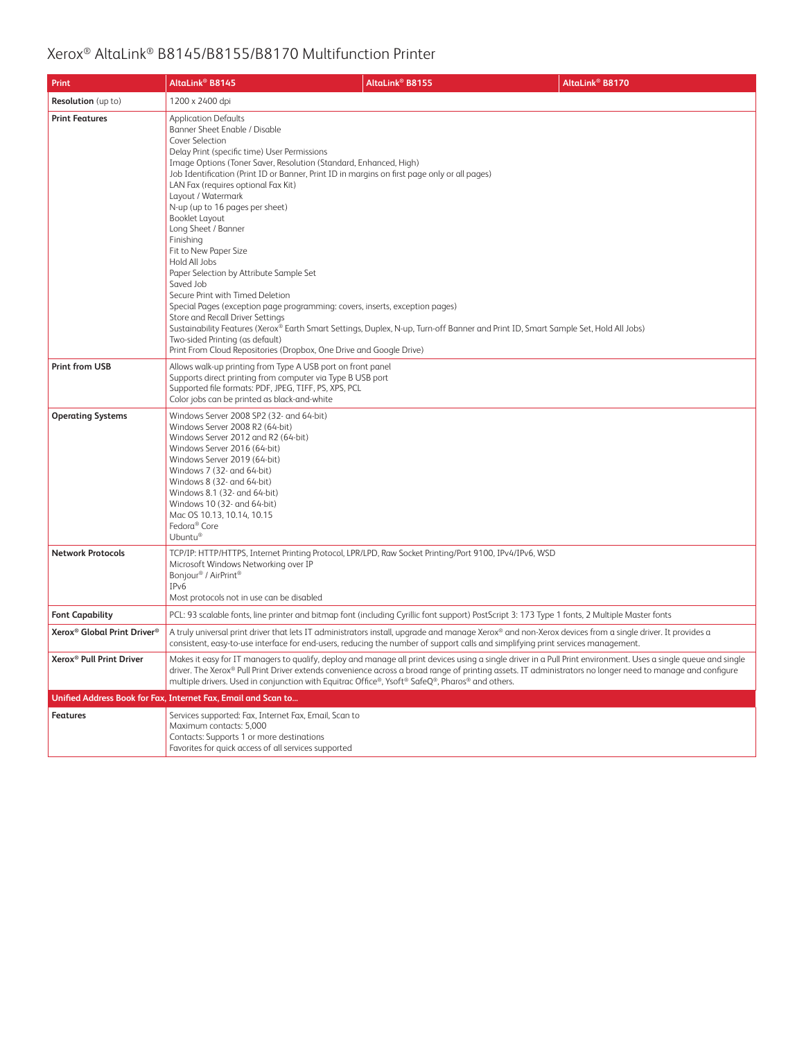| <b>Print</b>                                        | AltaLink <sup>®</sup> B8145                                                                                                                                                                                                                                                                                                                                                                                                                                                                                                                                                    | AltaLink <sup>®</sup> B8155                                                                                                                                                                                                                                                                                                                                                               | AltaLink® B8170                                                                                                                                                                                                                                                                                                               |
|-----------------------------------------------------|--------------------------------------------------------------------------------------------------------------------------------------------------------------------------------------------------------------------------------------------------------------------------------------------------------------------------------------------------------------------------------------------------------------------------------------------------------------------------------------------------------------------------------------------------------------------------------|-------------------------------------------------------------------------------------------------------------------------------------------------------------------------------------------------------------------------------------------------------------------------------------------------------------------------------------------------------------------------------------------|-------------------------------------------------------------------------------------------------------------------------------------------------------------------------------------------------------------------------------------------------------------------------------------------------------------------------------|
| <b>Resolution</b> (up to)                           | 1200 x 2400 dpi                                                                                                                                                                                                                                                                                                                                                                                                                                                                                                                                                                |                                                                                                                                                                                                                                                                                                                                                                                           |                                                                                                                                                                                                                                                                                                                               |
| <b>Print Features</b>                               | <b>Application Defaults</b><br>Banner Sheet Enable / Disable<br>Cover Selection<br>Delay Print (specific time) User Permissions<br>Image Options (Toner Saver, Resolution (Standard, Enhanced, High)<br>LAN Fax (requires optional Fax Kit)<br>Layout / Watermark<br>N-up (up to 16 pages per sheet)<br><b>Booklet Layout</b><br>Long Sheet / Banner<br>Finishing<br>Fit to New Paper Size<br>Hold All Jobs<br>Paper Selection by Attribute Sample Set<br>Saved Job<br>Secure Print with Timed Deletion<br>Store and Recall Driver Settings<br>Two-sided Printing (as default) | Job Identification (Print ID or Banner, Print ID in margins on first page only or all pages)<br>Special Pages (exception page programming: covers, inserts, exception pages)<br>Sustainability Features (Xerox® Earth Smart Settings, Duplex, N-up, Turn-off Banner and Print ID, Smart Sample Set, Hold All Jobs)<br>Print From Cloud Repositories (Dropbox, One Drive and Google Drive) |                                                                                                                                                                                                                                                                                                                               |
| <b>Print from USB</b>                               | Allows walk-up printing from Type A USB port on front panel<br>Supports direct printing from computer via Type B USB port<br>Supported file formats: PDF, JPEG, TIFF, PS, XPS, PCL<br>Color jobs can be printed as black-and-white                                                                                                                                                                                                                                                                                                                                             |                                                                                                                                                                                                                                                                                                                                                                                           |                                                                                                                                                                                                                                                                                                                               |
| <b>Operating Systems</b>                            | Windows Server 2008 SP2 (32- and 64-bit)<br>Windows Server 2008 R2 (64-bit)<br>Windows Server 2012 and R2 (64-bit)<br>Windows Server 2016 (64-bit)<br>Windows Server 2019 (64-bit)<br>Windows 7 (32- and 64-bit)<br>Windows 8 (32- and 64-bit)<br>Windows 8.1 (32- and 64-bit)<br>Windows 10 (32- and 64-bit)<br>Mac OS 10.13, 10.14, 10.15<br>Fedora® Core<br>Ubuntu®                                                                                                                                                                                                         |                                                                                                                                                                                                                                                                                                                                                                                           |                                                                                                                                                                                                                                                                                                                               |
| <b>Network Protocols</b>                            | Microsoft Windows Networking over IP<br>Bonjour <sup>®</sup> / AirPrint <sup>®</sup><br>IP <sub>v</sub> 6<br>Most protocols not in use can be disabled                                                                                                                                                                                                                                                                                                                                                                                                                         | TCP/IP: HTTP/HTTPS, Internet Printing Protocol, LPR/LPD, Raw Socket Printing/Port 9100, IPv4/IPv6, WSD                                                                                                                                                                                                                                                                                    |                                                                                                                                                                                                                                                                                                                               |
| <b>Font Capability</b>                              |                                                                                                                                                                                                                                                                                                                                                                                                                                                                                                                                                                                | PCL: 93 scalable fonts, line printer and bitmap font (including Cyrillic font support) PostScript 3: 173 Type 1 fonts, 2 Multiple Master fonts                                                                                                                                                                                                                                            |                                                                                                                                                                                                                                                                                                                               |
| Xerox <sup>®</sup> Global Print Driver <sup>®</sup> |                                                                                                                                                                                                                                                                                                                                                                                                                                                                                                                                                                                | consistent, easy-to-use interface for end-users, reducing the number of support calls and simplifying print services management.                                                                                                                                                                                                                                                          | A truly universal print driver that lets IT administrators install, upgrade and manage Xerox® and non-Xerox devices from a single driver. It provides a                                                                                                                                                                       |
| Xerox <sup>®</sup> Pull Print Driver                |                                                                                                                                                                                                                                                                                                                                                                                                                                                                                                                                                                                | multiple drivers. Used in conjunction with Equitrac Office®, Ysoft® SafeQ®, Pharos® and others.                                                                                                                                                                                                                                                                                           | Makes it easy for IT managers to qualify, deploy and manage all print devices using a single driver in a Pull Print environment. Uses a single queue and single<br>driver. The Xerox® Pull Print Driver extends convenience across a broad range of printing assets. IT administrators no longer need to manage and configure |
|                                                     | Unified Address Book for Fax, Internet Fax, Email and Scan to                                                                                                                                                                                                                                                                                                                                                                                                                                                                                                                  |                                                                                                                                                                                                                                                                                                                                                                                           |                                                                                                                                                                                                                                                                                                                               |
| <b>Features</b>                                     | Services supported: Fax, Internet Fax, Email, Scan to<br>Maximum contacts: 5,000<br>Contacts: Supports 1 or more destinations<br>Favorites for quick access of all services supported                                                                                                                                                                                                                                                                                                                                                                                          |                                                                                                                                                                                                                                                                                                                                                                                           |                                                                                                                                                                                                                                                                                                                               |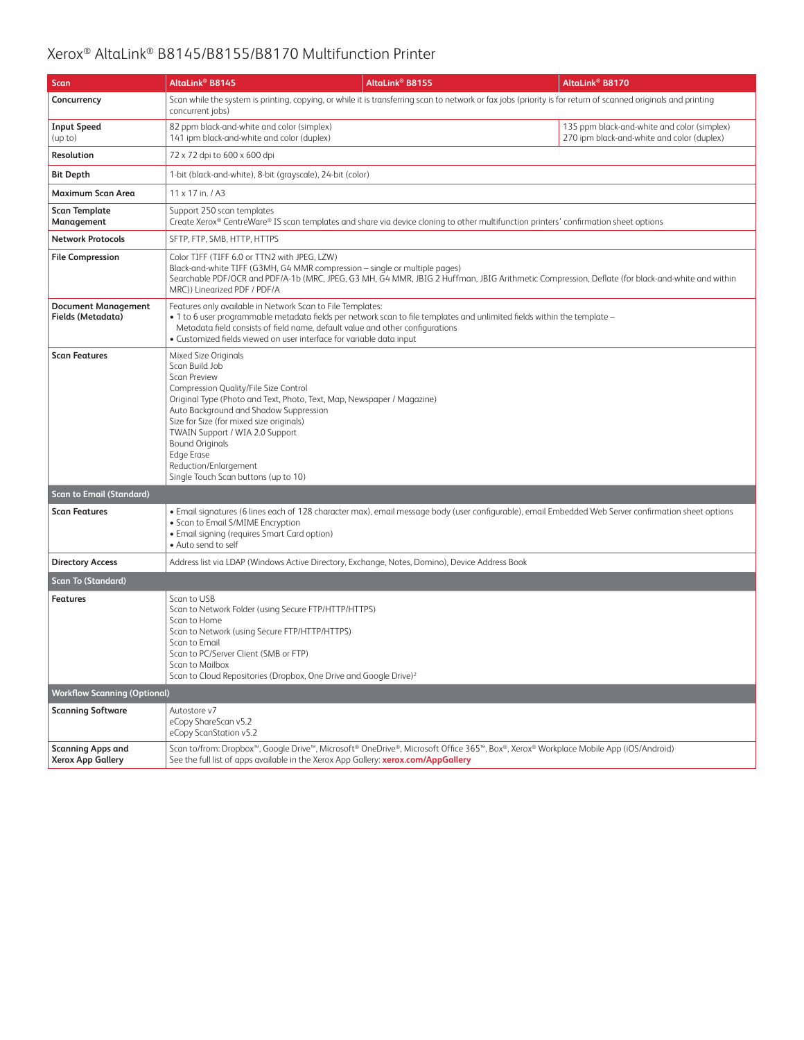| Scan                                                 | AltaLink® B8145                                                                                                                                                                                                                                                                                                                                 | AltaLink® B8155                                                                                                                                                                                                                                     | AltaLink <sup>®</sup> B8170                                                                                                                                   |
|------------------------------------------------------|-------------------------------------------------------------------------------------------------------------------------------------------------------------------------------------------------------------------------------------------------------------------------------------------------------------------------------------------------|-----------------------------------------------------------------------------------------------------------------------------------------------------------------------------------------------------------------------------------------------------|---------------------------------------------------------------------------------------------------------------------------------------------------------------|
| Concurrency                                          | concurrent jobs)                                                                                                                                                                                                                                                                                                                                |                                                                                                                                                                                                                                                     | Scan while the system is printing, copying, or while it is transferring scan to network or fax jobs (priority is for return of scanned originals and printing |
| <b>Input Speed</b><br>(up to)                        | 82 ppm black-and-white and color (simplex)<br>141 ipm black-and-white and color (duplex)                                                                                                                                                                                                                                                        |                                                                                                                                                                                                                                                     | 135 ppm black-and-white and color (simplex)<br>270 ipm black-and-white and color (duplex)                                                                     |
| Resolution                                           | 72 x 72 dpi to 600 x 600 dpi                                                                                                                                                                                                                                                                                                                    |                                                                                                                                                                                                                                                     |                                                                                                                                                               |
| <b>Bit Depth</b>                                     | 1-bit (black-and-white), 8-bit (grayscale), 24-bit (color)                                                                                                                                                                                                                                                                                      |                                                                                                                                                                                                                                                     |                                                                                                                                                               |
| Maximum Scan Area                                    | $11 \times 17$ in. / A3                                                                                                                                                                                                                                                                                                                         |                                                                                                                                                                                                                                                     |                                                                                                                                                               |
| <b>Scan Template</b><br>Management                   | Support 250 scan templates                                                                                                                                                                                                                                                                                                                      | Create Xerox® CentreWare® IS scan templates and share via device cloning to other multifunction printers' confirmation sheet options                                                                                                                |                                                                                                                                                               |
| <b>Network Protocols</b>                             | SFTP, FTP, SMB, HTTP, HTTPS                                                                                                                                                                                                                                                                                                                     |                                                                                                                                                                                                                                                     |                                                                                                                                                               |
| <b>File Compression</b>                              | Color TIFF (TIFF 6.0 or TTN2 with JPEG, LZW)<br>MRC)) Linearized PDF / PDF/A                                                                                                                                                                                                                                                                    | Black-and-white TIFF (G3MH, G4 MMR compression - single or multiple pages)                                                                                                                                                                          | Searchable PDF/OCR and PDF/A-1b (MRC, JPEG, G3 MH, G4 MMR, JBIG 2 Huffman, JBIG Arithmetic Compression, Deflate (for black-and-white and within               |
| <b>Document Management</b><br>Fields (Metadata)      | Features only available in Network Scan to File Templates:<br>• 1 to 6 user programmable metadata fields per network scan to file templates and unlimited fields within the template -<br>Metadata field consists of field name, default value and other configurations<br>· Customized fields viewed on user interface for variable data input |                                                                                                                                                                                                                                                     |                                                                                                                                                               |
| <b>Scan Features</b>                                 | Mixed Size Originals<br>Scan Build Job<br><b>Scan Preview</b><br>Compression Quality/File Size Control<br>Auto Background and Shadow Suppression<br>Size for Size (for mixed size originals)<br>TWAIN Support / WIA 2.0 Support<br><b>Bound Originals</b><br><b>Edge Erase</b><br>Reduction/Enlargement<br>Single Touch Scan buttons (up to 10) | Original Type (Photo and Text, Photo, Text, Map, Newspaper / Magazine)                                                                                                                                                                              |                                                                                                                                                               |
| <b>Scan to Email (Standard)</b>                      |                                                                                                                                                                                                                                                                                                                                                 |                                                                                                                                                                                                                                                     |                                                                                                                                                               |
| <b>Scan Features</b>                                 | • Scan to Email S/MIME Encryption<br>• Email signing (requires Smart Card option)<br>· Auto send to self                                                                                                                                                                                                                                        |                                                                                                                                                                                                                                                     | • Email signatures (6 lines each of 128 character max), email message body (user configurable), email Embedded Web Server confirmation sheet options          |
| <b>Directory Access</b>                              |                                                                                                                                                                                                                                                                                                                                                 | Address list via LDAP (Windows Active Directory, Exchange, Notes, Domino), Device Address Book                                                                                                                                                      |                                                                                                                                                               |
| <b>Scan To (Standard)</b>                            |                                                                                                                                                                                                                                                                                                                                                 |                                                                                                                                                                                                                                                     |                                                                                                                                                               |
| <b>Features</b>                                      | Scan to USB<br>Scan to Network Folder (using Secure FTP/HTTP/HTTPS)<br>Scan to Home<br>Scan to Network (using Secure FTP/HTTP/HTTPS)<br>Scan to Email<br>Scan to PC/Server Client (SMB or FTP)<br>Scan to Mailbox                                                                                                                               | Scan to Cloud Repositories (Dropbox, One Drive and Google Drive) <sup>2</sup>                                                                                                                                                                       |                                                                                                                                                               |
| <b>Workflow Scanning (Optional)</b>                  |                                                                                                                                                                                                                                                                                                                                                 |                                                                                                                                                                                                                                                     |                                                                                                                                                               |
| <b>Scanning Software</b>                             | Autostore v7<br>eCopy ShareScan v5.2<br>eCopy ScanStation v5.2                                                                                                                                                                                                                                                                                  |                                                                                                                                                                                                                                                     |                                                                                                                                                               |
| <b>Scanning Apps and</b><br><b>Xerox App Gallery</b> |                                                                                                                                                                                                                                                                                                                                                 | Scan to/from: Dropbox <sup>™</sup> , Google Drive <sup>™</sup> , Microsoft® OneDrive®, Microsoft Office 365™, Box®, Xerox® Workplace Mobile App (iOS/Android)<br>See the full list of apps available in the Xerox App Gallery: xerox.com/AppGallery |                                                                                                                                                               |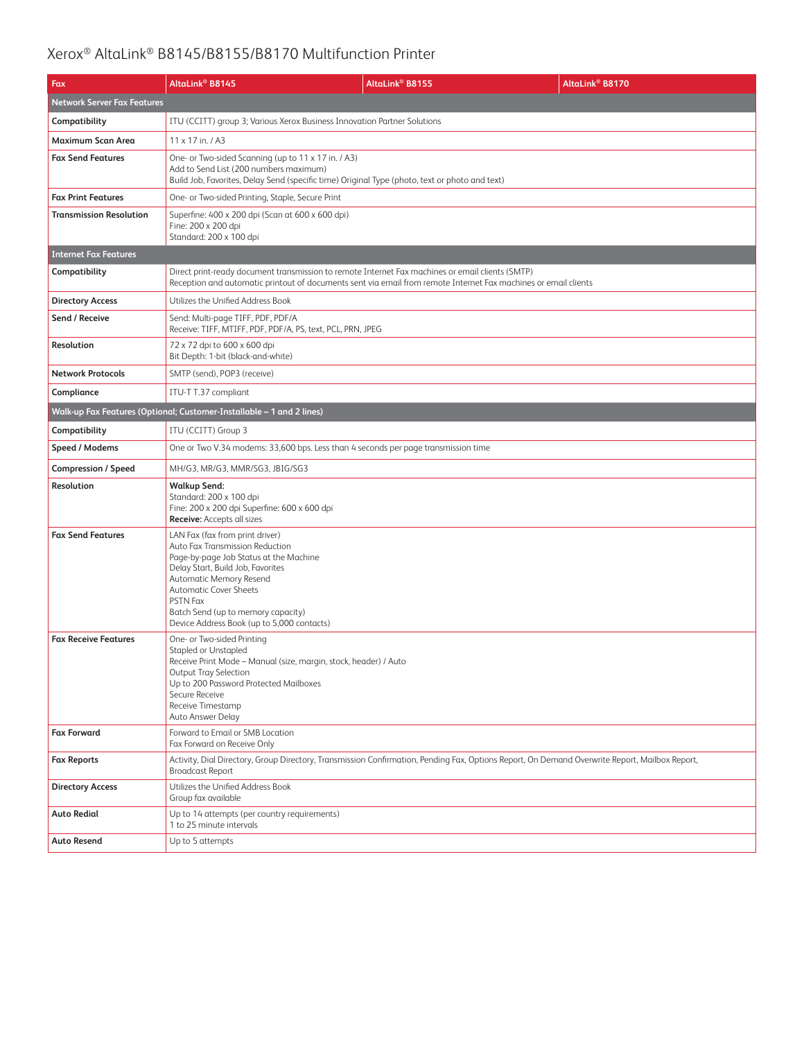| Fax                                | AltaLink <sup>®</sup> B8145                                                                                                                                                                                                                                                                                          | AltaLink <sup>®</sup> B8155                                                                                     | AltaLink® B8170 |
|------------------------------------|----------------------------------------------------------------------------------------------------------------------------------------------------------------------------------------------------------------------------------------------------------------------------------------------------------------------|-----------------------------------------------------------------------------------------------------------------|-----------------|
| <b>Network Server Fax Features</b> |                                                                                                                                                                                                                                                                                                                      |                                                                                                                 |                 |
| Compatibility                      | ITU (CCITT) group 3; Various Xerox Business Innovation Partner Solutions                                                                                                                                                                                                                                             |                                                                                                                 |                 |
| Maximum Scan Area                  | 11 x 17 in. / A3                                                                                                                                                                                                                                                                                                     |                                                                                                                 |                 |
| <b>Fax Send Features</b>           | One- or Two-sided Scanning (up to 11 x 17 in. / A3)<br>Add to Send List (200 numbers maximum)<br>Build Job, Favorites, Delay Send (specific time) Original Type (photo, text or photo and text)                                                                                                                      |                                                                                                                 |                 |
| <b>Fax Print Features</b>          | One- or Two-sided Printing, Staple, Secure Print                                                                                                                                                                                                                                                                     |                                                                                                                 |                 |
| <b>Transmission Resolution</b>     | Superfine: 400 x 200 dpi (Scan at 600 x 600 dpi)<br>Fine: 200 x 200 dpi<br>Standard: 200 x 100 dpi                                                                                                                                                                                                                   |                                                                                                                 |                 |
| <b>Internet Fax Features</b>       |                                                                                                                                                                                                                                                                                                                      |                                                                                                                 |                 |
| Compatibility                      | Direct print-ready document transmission to remote Internet Fax machines or email clients (SMTP)                                                                                                                                                                                                                     | Reception and automatic printout of documents sent via email from remote Internet Fax machines or email clients |                 |
| <b>Directory Access</b>            | Utilizes the Unified Address Book                                                                                                                                                                                                                                                                                    |                                                                                                                 |                 |
| Send / Receive                     | Send: Multi-page TIFF, PDF, PDF/A<br>Receive: TIFF, MTIFF, PDF, PDF/A, PS, text, PCL, PRN, JPEG                                                                                                                                                                                                                      |                                                                                                                 |                 |
| Resolution                         | 72 x 72 dpi to 600 x 600 dpi<br>Bit Depth: 1-bit (black-and-white)                                                                                                                                                                                                                                                   |                                                                                                                 |                 |
| <b>Network Protocols</b>           | SMTP (send), POP3 (receive)                                                                                                                                                                                                                                                                                          |                                                                                                                 |                 |
| Compliance                         | ITU-T T.37 compliant                                                                                                                                                                                                                                                                                                 |                                                                                                                 |                 |
|                                    | Walk-up Fax Features (Optional; Customer-Installable - 1 and 2 lines)                                                                                                                                                                                                                                                |                                                                                                                 |                 |
| Compatibility                      | ITU (CCITT) Group 3                                                                                                                                                                                                                                                                                                  |                                                                                                                 |                 |
| Speed / Modems                     | One or Two V.34 modems: 33,600 bps. Less than 4 seconds per page transmission time                                                                                                                                                                                                                                   |                                                                                                                 |                 |
| <b>Compression / Speed</b>         | MH/G3, MR/G3, MMR/SG3, JBIG/SG3                                                                                                                                                                                                                                                                                      |                                                                                                                 |                 |
| Resolution                         | <b>Walkup Send:</b><br>Standard: 200 x 100 dpi<br>Fine: 200 x 200 dpi Superfine: 600 x 600 dpi<br><b>Receive:</b> Accepts all sizes                                                                                                                                                                                  |                                                                                                                 |                 |
| <b>Fax Send Features</b>           | LAN Fax (fax from print driver)<br>Auto Fax Transmission Reduction<br>Page-by-page Job Status at the Machine<br>Delay Start, Build Job, Favorites<br>Automatic Memory Resend<br><b>Automatic Cover Sheets</b><br><b>PSTN Fax</b><br>Batch Send (up to memory capacity)<br>Device Address Book (up to 5,000 contacts) |                                                                                                                 |                 |
| <b>Fax Receive Features</b>        | One- or Two-sided Printing<br><b>Stapled or Unstapled</b><br>Receive Print Mode - Manual (size, margin, stock, header) / Auto<br>Output Tray Selection<br>Up to 200 Password Protected Mailboxes<br>Secure Receive<br>Receive Timestamp<br>Auto Answer Delay                                                         |                                                                                                                 |                 |
| <b>Fax Forward</b>                 | Forward to Email or SMB Location<br>Fax Forward on Receive Only                                                                                                                                                                                                                                                      |                                                                                                                 |                 |
| <b>Fax Reports</b>                 | Activity, Dial Directory, Group Directory, Transmission Confirmation, Pending Fax, Options Report, On Demand Overwrite Report, Mailbox Report,<br><b>Broadcast Report</b>                                                                                                                                            |                                                                                                                 |                 |
| <b>Directory Access</b>            | Utilizes the Unified Address Book<br>Group fax available                                                                                                                                                                                                                                                             |                                                                                                                 |                 |
| <b>Auto Redial</b>                 | Up to 14 attempts (per country requirements)<br>1 to 25 minute intervals                                                                                                                                                                                                                                             |                                                                                                                 |                 |
| <b>Auto Resend</b>                 | Up to 5 attempts                                                                                                                                                                                                                                                                                                     |                                                                                                                 |                 |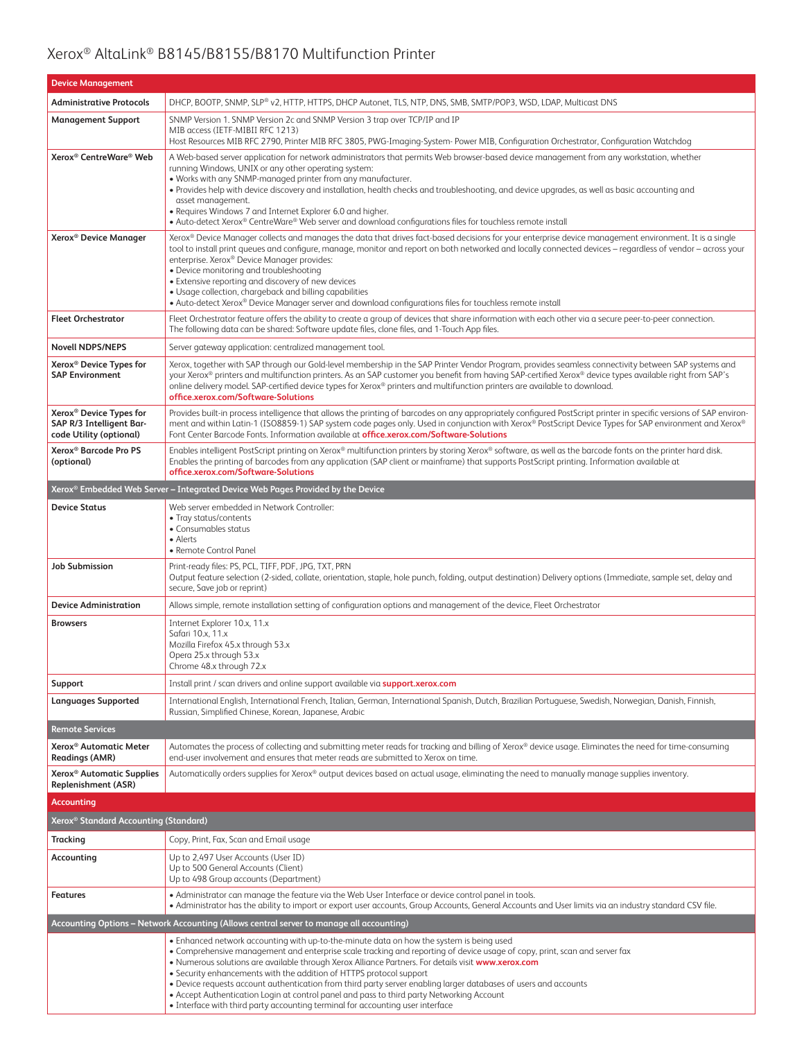| <b>Device Management</b>                                                                   |                                                                                                                                                                                                                                                                                                                                                                                                                                                                                                                                                                                                                                                                                                         |  |  |
|--------------------------------------------------------------------------------------------|---------------------------------------------------------------------------------------------------------------------------------------------------------------------------------------------------------------------------------------------------------------------------------------------------------------------------------------------------------------------------------------------------------------------------------------------------------------------------------------------------------------------------------------------------------------------------------------------------------------------------------------------------------------------------------------------------------|--|--|
| <b>Administrative Protocols</b>                                                            | DHCP, BOOTP, SNMP, SLP® v2, HTTP, HTTPS, DHCP Autonet, TLS, NTP, DNS, SMB, SMTP/POP3, WSD, LDAP, Multicast DNS                                                                                                                                                                                                                                                                                                                                                                                                                                                                                                                                                                                          |  |  |
| <b>Management Support</b>                                                                  | SNMP Version 1. SNMP Version 2c and SNMP Version 3 trap over TCP/IP and IP<br>MIB access (IETF-MIBII RFC 1213)<br>Host Resources MIB RFC 2790, Printer MIB RFC 3805, PWG-Imaging-System- Power MIB, Configuration Orchestrator, Configuration Watchdog                                                                                                                                                                                                                                                                                                                                                                                                                                                  |  |  |
| Xerox <sup>®</sup> CentreWare® Web                                                         | A Web-based server application for network administrators that permits Web browser-based device management from any workstation, whether<br>running Windows, UNIX or any other operating system:<br>. Works with any SNMP-managed printer from any manufacturer.<br>• Provides help with device discovery and installation, health checks and troubleshooting, and device upgrades, as well as basic accounting and<br>asset management.<br>• Requires Windows 7 and Internet Explorer 6.0 and higher.<br>• Auto-detect Xerox® CentreWare® Web server and download configurations files for touchless remote install                                                                                    |  |  |
| Xerox <sup>®</sup> Device Manager                                                          | Xerox® Device Manager collects and manages the data that drives fact-based decisions for your enterprise device management environment. It is a single<br>tool to install print queues and configure, manage, monitor and report on both networked and locally connected devices - regardless of vendor - across your<br>enterprise. Xerox® Device Manager provides:<br>• Device monitoring and troubleshooting<br>• Extensive reporting and discovery of new devices<br>• Usage collection, chargeback and billing capabilities<br>• Auto-detect Xerox® Device Manager server and download configurations files for touchless remote install                                                           |  |  |
| <b>Fleet Orchestrator</b>                                                                  | Fleet Orchestrator feature offers the ability to create a group of devices that share information with each other via a secure peer-to-peer connection.<br>The following data can be shared: Software update files, clone files, and 1-Touch App files.                                                                                                                                                                                                                                                                                                                                                                                                                                                 |  |  |
| <b>Novell NDPS/NEPS</b>                                                                    | Server gateway application: centralized management tool.                                                                                                                                                                                                                                                                                                                                                                                                                                                                                                                                                                                                                                                |  |  |
| Xerox <sup>®</sup> Device Types for<br><b>SAP Environment</b>                              | Xerox, together with SAP through our Gold-level membership in the SAP Printer Vendor Program, provides seamless connectivity between SAP systems and<br>your Xerox® printers and multifunction printers. As an SAP customer you benefit from having SAP-certified Xerox® device types available right from SAP's<br>online delivery model. SAP-certified device types for Xerox® printers and multifunction printers are available to download.<br>office.xerox.com/Software-Solutions                                                                                                                                                                                                                  |  |  |
| Xerox <sup>®</sup> Device Types for<br>SAP R/3 Intelligent Bar-<br>code Utility (optional) | Provides built-in process intelligence that allows the printing of barcodes on any appropriately configured PostScript printer in specific versions of SAP environ-<br>ment and within Latin-1 (ISO8859-1) SAP system code pages only. Used in conjunction with Xerox® PostScript Device Types for SAP environment and Xerox®<br>Font Center Barcode Fonts. Information available at <b>office.xerox.com/Software-Solutions</b>                                                                                                                                                                                                                                                                         |  |  |
| Xerox <sup>®</sup> Barcode Pro PS<br>(optional)                                            | Enables intelligent PostScript printing on Xerox® multifunction printers by storing Xerox® software, as well as the barcode fonts on the printer hard disk.<br>Enables the printing of barcodes from any application (SAP client or mainframe) that supports PostScript printing. Information available at<br>office.xerox.com/Software-Solutions                                                                                                                                                                                                                                                                                                                                                       |  |  |
| Xerox® Embedded Web Server – Integrated Device Web Pages Provided by the Device            |                                                                                                                                                                                                                                                                                                                                                                                                                                                                                                                                                                                                                                                                                                         |  |  |
| <b>Device Status</b>                                                                       | Web server embedded in Network Controller:<br>• Tray status/contents<br>• Consumables status<br>• Alerts<br>• Remote Control Panel                                                                                                                                                                                                                                                                                                                                                                                                                                                                                                                                                                      |  |  |
| <b>Job Submission</b>                                                                      | Print-ready files: PS, PCL, TIFF, PDF, JPG, TXT, PRN<br>Output feature selection (2-sided, collate, orientation, staple, hole punch, folding, output destination) Delivery options (Immediate, sample set, delay and<br>secure, Save job or reprint)                                                                                                                                                                                                                                                                                                                                                                                                                                                    |  |  |
| <b>Device Administration</b>                                                               | Allows simple, remote installation setting of configuration options and management of the device, Fleet Orchestrator                                                                                                                                                                                                                                                                                                                                                                                                                                                                                                                                                                                    |  |  |
| <b>Browsers</b>                                                                            | Internet Explorer 10.x, 11.x<br>Safari 10.x, 11.x<br>Mozilla Firefox 45.x through 53.x<br>Opera 25.x through 53.x<br>Chrome 48.x through 72.x                                                                                                                                                                                                                                                                                                                                                                                                                                                                                                                                                           |  |  |
| Support                                                                                    | Install print / scan drivers and online support available via support.xerox.com                                                                                                                                                                                                                                                                                                                                                                                                                                                                                                                                                                                                                         |  |  |
| <b>Languages Supported</b>                                                                 | International English, International French, Italian, German, International Spanish, Dutch, Brazilian Portuguese, Swedish, Norwegian, Danish, Finnish,<br>Russian, Simplified Chinese, Korean, Japanese, Arabic                                                                                                                                                                                                                                                                                                                                                                                                                                                                                         |  |  |
| <b>Remote Services</b>                                                                     |                                                                                                                                                                                                                                                                                                                                                                                                                                                                                                                                                                                                                                                                                                         |  |  |
| Xerox <sup>®</sup> Automatic Meter<br>Readings (AMR)                                       | Automates the process of collecting and submitting meter reads for tracking and billing of Xerox® device usage. Eliminates the need for time-consuming<br>end-user involvement and ensures that meter reads are submitted to Xerox on time.                                                                                                                                                                                                                                                                                                                                                                                                                                                             |  |  |
| Xerox <sup>®</sup> Automatic Supplies<br>Replenishment (ASR)                               | Automatically orders supplies for Xerox® output devices based on actual usage, eliminating the need to manually manage supplies inventory.                                                                                                                                                                                                                                                                                                                                                                                                                                                                                                                                                              |  |  |
| <b>Accounting</b>                                                                          |                                                                                                                                                                                                                                                                                                                                                                                                                                                                                                                                                                                                                                                                                                         |  |  |
| Xerox® Standard Accounting (Standard)                                                      |                                                                                                                                                                                                                                                                                                                                                                                                                                                                                                                                                                                                                                                                                                         |  |  |
| <b>Tracking</b>                                                                            | Copy, Print, Fax, Scan and Email usage                                                                                                                                                                                                                                                                                                                                                                                                                                                                                                                                                                                                                                                                  |  |  |
| Accounting                                                                                 | Up to 2,497 User Accounts (User ID)<br>Up to 500 General Accounts (Client)<br>Up to 498 Group accounts (Department)                                                                                                                                                                                                                                                                                                                                                                                                                                                                                                                                                                                     |  |  |
| <b>Features</b>                                                                            | • Administrator can manage the feature via the Web User Interface or device control panel in tools.<br>. Administrator has the ability to import or export user accounts, Group Accounts, General Accounts and User limits via an industry standard CSV file.                                                                                                                                                                                                                                                                                                                                                                                                                                           |  |  |
| Accounting Options – Network Accounting (Allows central server to manage all accounting)   |                                                                                                                                                                                                                                                                                                                                                                                                                                                                                                                                                                                                                                                                                                         |  |  |
|                                                                                            | . Enhanced network accounting with up-to-the-minute data on how the system is being used<br>• Comprehensive management and enterprise scale tracking and reporting of device usage of copy, print, scan and server fax<br>. Numerous solutions are available through Xerox Alliance Partners. For details visit www.xerox.com<br>• Security enhancements with the addition of HTTPS protocol support<br>• Device requests account authentication from third party server enabling larger databases of users and accounts<br>• Accept Authentication Login at control panel and pass to third party Networking Account<br>• Interface with third party accounting terminal for accounting user interface |  |  |